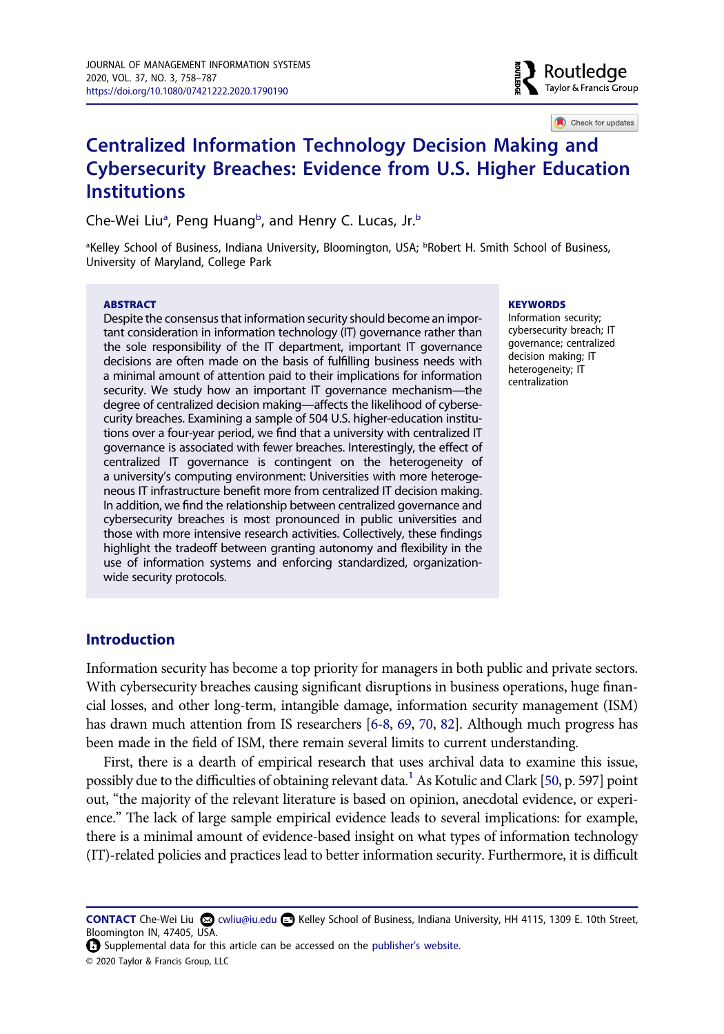$\blacktriangleright$  Routledge Taylor & Francis Group

Check for updates

# **Centralized Information Technology Decision Making and Cybersecurity Breaches: Evidence from U.S. Higher Education Institutions**

Che-Wei Liu<sup>[a](#page-0-0)</sup>, Peng Huang<sup>b</sup>, and Henry C. Lucas, Jr.<sup>b</sup>

<span id="page-0-0"></span><sup>a</sup>Kelley School of Business, Indiana University, Bloomington, USA; <sup>b</sup>Robert H. Smith School of Business, University of Maryland, College Park

#### **ABSTRACT**

Despite the consensus that information security should become an important consideration in information technology (IT) governance rather than the sole responsibility of the IT department, important IT governance decisions are often made on the basis of fulfilling business needs with a minimal amount of attention paid to their implications for information security. We study how an important IT governance mechanism—the degree of centralized decision making—affects the likelihood of cybersecurity breaches. Examining a sample of 504 U.S. higher-education institutions over a four-year period, we find that a university with centralized IT governance is associated with fewer breaches. Interestingly, the effect of centralized IT governance is contingent on the heterogeneity of a university's computing environment: Universities with more heterogeneous IT infrastructure benefit more from centralized IT decision making. In addition, we find the relationship between centralized governance and cybersecurity breaches is most pronounced in public universities and those with more intensive research activities. Collectively, these findings highlight the tradeoff between granting autonomy and flexibility in the use of information systems and enforcing standardized, organizationwide security protocols.

#### **KEYWORDS**

Information security; cybersecurity breach; IT governance; centralized decision making; IT heterogeneity; IT centralization

## **Introduction**

Information security has become a top priority for managers in both public and private sectors. With cybersecurity breaches causing significant disruptions in business operations, huge financial losses, and other long-term, intangible damage, information security management (ISM) has drawn much attention from IS researchers [\[6-8](#page-24-0), [69](#page-27-0), [70](#page-27-1), [82](#page-27-2)]. Although much progress has been made in the field of ISM, there remain several limits to current understanding.

First, there is a dearth of empirical research that uses archival data to examine this issue, possibly due to the difficulties of obtaining relevant data.<sup>1</sup> As Kotulic and Clark [\[50,](#page-26-0) p. 597] point out, "the majority of the relevant literature is based on opinion, anecdotal evidence, or experience." The lack of large sample empirical evidence leads to several implications: for example, there is a minimal amount of evidence-based insight on what types of information technology (IT)-related policies and practices lead to better information security. Furthermore, it is difficult

 $\bigoplus$  Supplemental data for this article can be accessed on the [publisher's website](https://doi.org/10.1080/07421222.2020.1790190).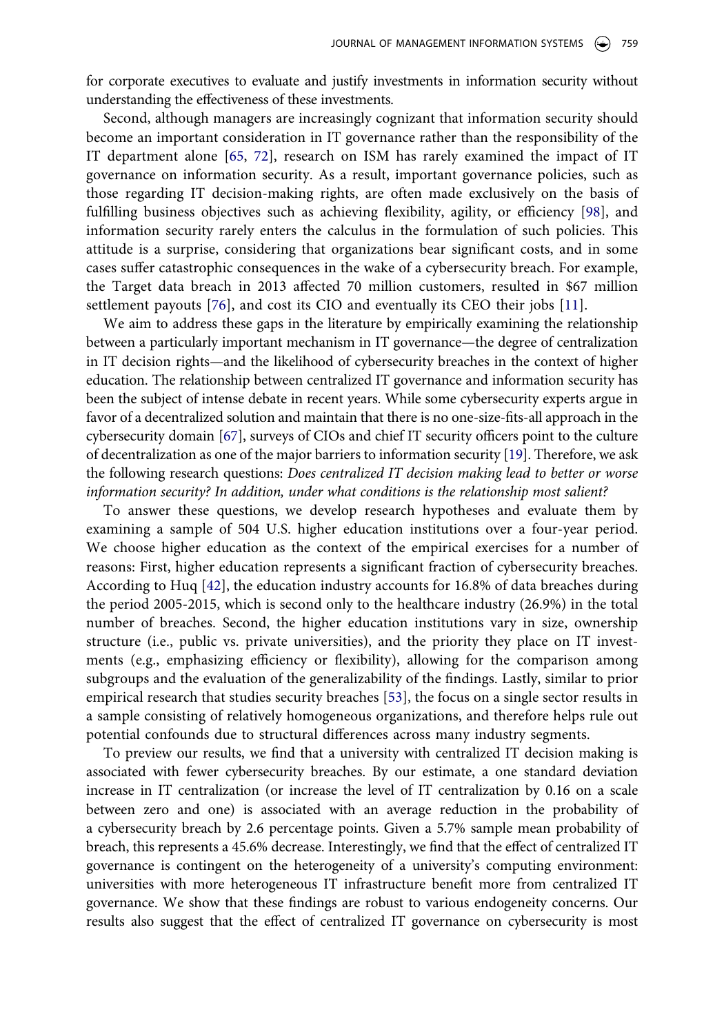for corporate executives to evaluate and justify investments in information security without understanding the effectiveness of these investments.

Second, although managers are increasingly cognizant that information security should become an important consideration in IT governance rather than the responsibility of the IT department alone [[65,](#page-27-3) [72\]](#page-27-4), research on ISM has rarely examined the impact of IT governance on information security. As a result, important governance policies, such as those regarding IT decision-making rights, are often made exclusively on the basis of fulfilling business objectives such as achieving flexibility, agility, or efficiency [[98\]](#page-28-0), and information security rarely enters the calculus in the formulation of such policies. This attitude is a surprise, considering that organizations bear significant costs, and in some cases suffer catastrophic consequences in the wake of a cybersecurity breach. For example, the Target data breach in 2013 affected 70 million customers, resulted in \$67 million settlement payouts [\[76](#page-27-5)], and cost its CIO and eventually its CEO their jobs [[11](#page-24-1)].

We aim to address these gaps in the literature by empirically examining the relationship between a particularly important mechanism in IT governance—the degree of centralization in IT decision rights—and the likelihood of cybersecurity breaches in the context of higher education. The relationship between centralized IT governance and information security has been the subject of intense debate in recent years. While some cybersecurity experts argue in favor of a decentralized solution and maintain that there is no one-size-fits-all approach in the cybersecurity domain [[67](#page-27-6)], surveys of CIOs and chief IT security officers point to the culture of decentralization as one of the major barriers to information security [\[19\]](#page-25-0). Therefore, we ask the following research questions: *Does centralized IT decision making lead to better or worse information security? In addition, under what conditions is the relationship most salient?* 

To answer these questions, we develop research hypotheses and evaluate them by examining a sample of 504 U.S. higher education institutions over a four-year period. We choose higher education as the context of the empirical exercises for a number of reasons: First, higher education represents a significant fraction of cybersecurity breaches. According to Huq [[42\]](#page-26-1), the education industry accounts for 16.8% of data breaches during the period 2005-2015, which is second only to the healthcare industry (26.9%) in the total number of breaches. Second, the higher education institutions vary in size, ownership structure (i.e., public vs. private universities), and the priority they place on IT investments (e.g., emphasizing efficiency or flexibility), allowing for the comparison among subgroups and the evaluation of the generalizability of the findings. Lastly, similar to prior empirical research that studies security breaches [\[53](#page-26-2)], the focus on a single sector results in a sample consisting of relatively homogeneous organizations, and therefore helps rule out potential confounds due to structural differences across many industry segments.

To preview our results, we find that a university with centralized IT decision making is associated with fewer cybersecurity breaches. By our estimate, a one standard deviation increase in IT centralization (or increase the level of IT centralization by 0.16 on a scale between zero and one) is associated with an average reduction in the probability of a cybersecurity breach by 2.6 percentage points. Given a 5.7% sample mean probability of breach, this represents a 45.6% decrease. Interestingly, we find that the effect of centralized IT governance is contingent on the heterogeneity of a university's computing environment: universities with more heterogeneous IT infrastructure benefit more from centralized IT governance. We show that these findings are robust to various endogeneity concerns. Our results also suggest that the effect of centralized IT governance on cybersecurity is most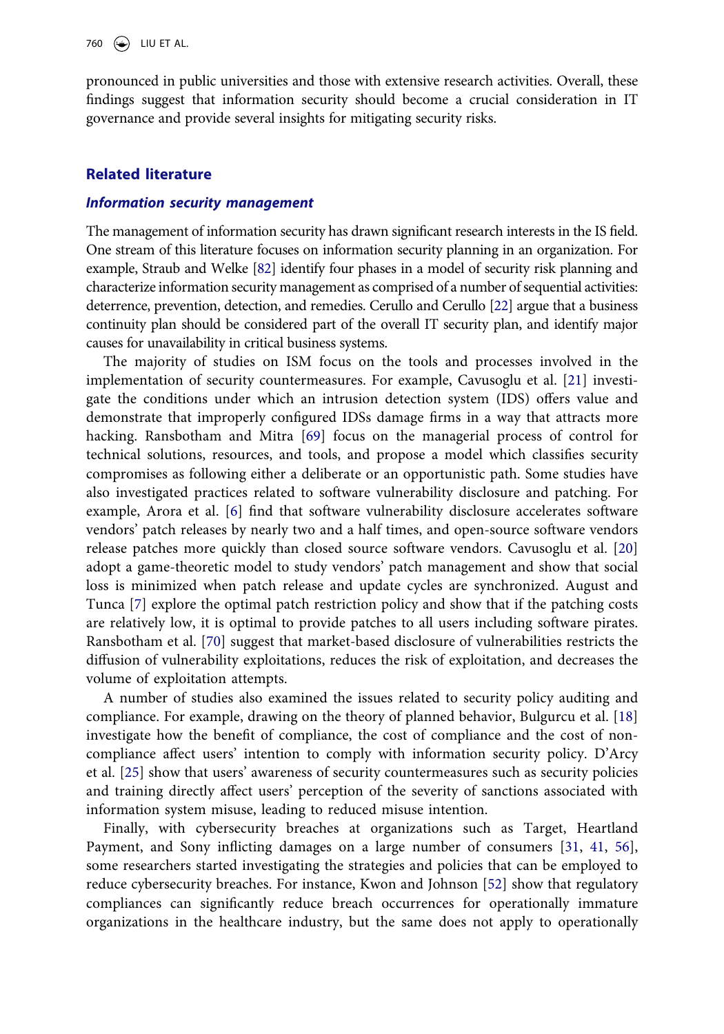pronounced in public universities and those with extensive research activities. Overall, these findings suggest that information security should become a crucial consideration in IT governance and provide several insights for mitigating security risks.

## **Related literature**

### *Information security management*

The management of information security has drawn significant research interests in the IS field. One stream of this literature focuses on information security planning in an organization. For example, Straub and Welke [\[82\]](#page-27-2) identify four phases in a model of security risk planning and characterize information security management as comprised of a number of sequential activities: deterrence, prevention, detection, and remedies. Cerullo and Cerullo [\[22\]](#page-25-1) argue that a business continuity plan should be considered part of the overall IT security plan, and identify major causes for unavailability in critical business systems.

The majority of studies on ISM focus on the tools and processes involved in the implementation of security countermeasures. For example, Cavusoglu et al. [\[21](#page-25-2)] investigate the conditions under which an intrusion detection system (IDS) offers value and demonstrate that improperly configured IDSs damage firms in a way that attracts more hacking. Ransbotham and Mitra [\[69](#page-27-0)] focus on the managerial process of control for technical solutions, resources, and tools, and propose a model which classifies security compromises as following either a deliberate or an opportunistic path. Some studies have also investigated practices related to software vulnerability disclosure and patching. For example, Arora et al. [\[6](#page-24-2)] find that software vulnerability disclosure accelerates software vendors' patch releases by nearly two and a half times, and open-source software vendors release patches more quickly than closed source software vendors. Cavusoglu et al. [\[20\]](#page-25-3) adopt a game-theoretic model to study vendors' patch management and show that social loss is minimized when patch release and update cycles are synchronized. August and Tunca [[7\]](#page-24-3) explore the optimal patch restriction policy and show that if the patching costs are relatively low, it is optimal to provide patches to all users including software pirates. Ransbotham et al. [[70\]](#page-27-1) suggest that market-based disclosure of vulnerabilities restricts the diffusion of vulnerability exploitations, reduces the risk of exploitation, and decreases the volume of exploitation attempts.

A number of studies also examined the issues related to security policy auditing and compliance. For example, drawing on the theory of planned behavior, Bulgurcu et al. [\[18\]](#page-25-4) investigate how the benefit of compliance, the cost of compliance and the cost of noncompliance affect users' intention to comply with information security policy. D'Arcy et al. [[25\]](#page-25-5) show that users' awareness of security countermeasures such as security policies and training directly affect users' perception of the severity of sanctions associated with information system misuse, leading to reduced misuse intention.

Finally, with cybersecurity breaches at organizations such as Target, Heartland Payment, and Sony inflicting damages on a large number of consumers [\[31](#page-25-6), [41,](#page-26-3) [56](#page-26-4)], some researchers started investigating the strategies and policies that can be employed to reduce cybersecurity breaches. For instance, Kwon and Johnson [\[52\]](#page-26-5) show that regulatory compliances can significantly reduce breach occurrences for operationally immature organizations in the healthcare industry, but the same does not apply to operationally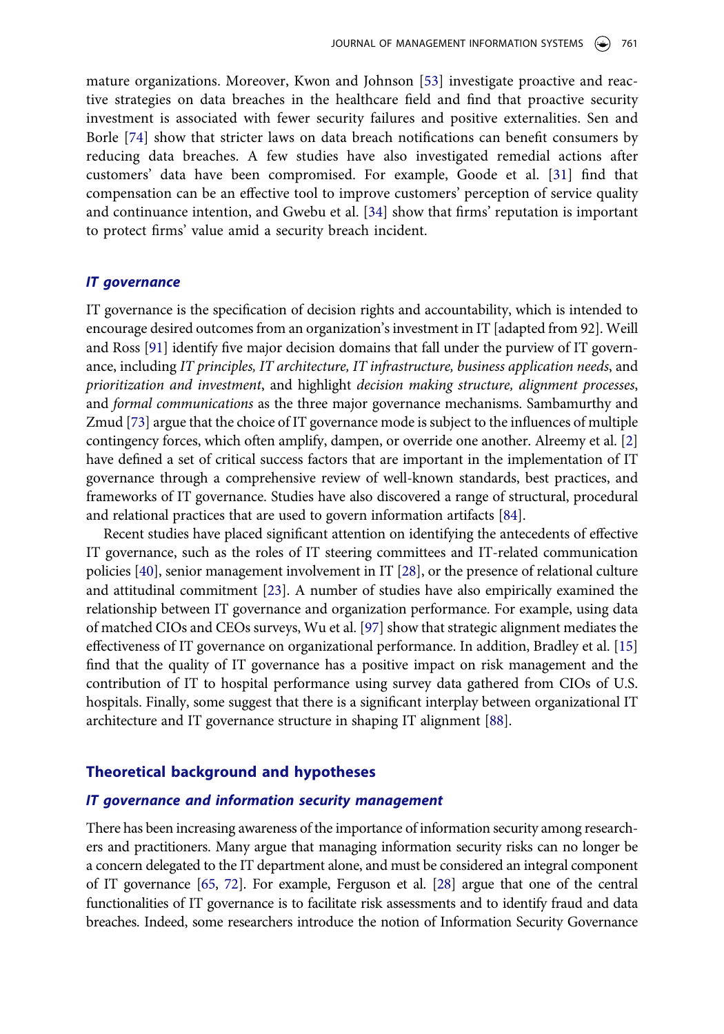mature organizations. Moreover, Kwon and Johnson [\[53](#page-26-2)] investigate proactive and reactive strategies on data breaches in the healthcare field and find that proactive security investment is associated with fewer security failures and positive externalities. Sen and Borle [[74\]](#page-27-7) show that stricter laws on data breach notifications can benefit consumers by reducing data breaches. A few studies have also investigated remedial actions after customers' data have been compromised. For example, Goode et al. [\[31](#page-25-6)] find that compensation can be an effective tool to improve customers' perception of service quality and continuance intention, and Gwebu et al. [\[34\]](#page-25-7) show that firms' reputation is important to protect firms' value amid a security breach incident.

### *IT governance*

IT governance is the specification of decision rights and accountability, which is intended to encourage desired outcomes from an organization's investment in IT [adapted from 92]. Weill and Ross [[91\]](#page-28-1) identify five major decision domains that fall under the purview of IT governance, including *IT principles, IT architecture, IT infrastructure, business application needs*, and *prioritization and investment*, and highlight *decision making structure, alignment processes*, and *formal communications* as the three major governance mechanisms. Sambamurthy and Zmud [\[73](#page-27-8)] argue that the choice of IT governance mode is subject to the influences of multiple contingency forces, which often amplify, dampen, or override one another. Alreemy et al. [[2\]](#page-24-4) have defined a set of critical success factors that are important in the implementation of IT governance through a comprehensive review of well-known standards, best practices, and frameworks of IT governance. Studies have also discovered a range of structural, procedural and relational practices that are used to govern information artifacts [\[84](#page-28-2)].

Recent studies have placed significant attention on identifying the antecedents of effective IT governance, such as the roles of IT steering committees and IT-related communication policies [\[40\]](#page-26-6), senior management involvement in IT [[28\]](#page-25-8), or the presence of relational culture and attitudinal commitment [\[23\]](#page-25-9). A number of studies have also empirically examined the relationship between IT governance and organization performance. For example, using data of matched CIOs and CEOs surveys, Wu et al. [\[97\]](#page-28-3) show that strategic alignment mediates the effectiveness of IT governance on organizational performance. In addition, Bradley et al. [[15\]](#page-25-10) find that the quality of IT governance has a positive impact on risk management and the contribution of IT to hospital performance using survey data gathered from CIOs of U.S. hospitals. Finally, some suggest that there is a significant interplay between organizational IT architecture and IT governance structure in shaping IT alignment [[88\]](#page-28-4).

#### **Theoretical background and hypotheses**

#### *IT governance and information security management*

There has been increasing awareness of the importance of information security among researchers and practitioners. Many argue that managing information security risks can no longer be a concern delegated to the IT department alone, and must be considered an integral component of IT governance [\[65,](#page-27-3) [72\]](#page-27-4). For example, Ferguson et al. [\[28\]](#page-25-8) argue that one of the central functionalities of IT governance is to facilitate risk assessments and to identify fraud and data breaches. Indeed, some researchers introduce the notion of Information Security Governance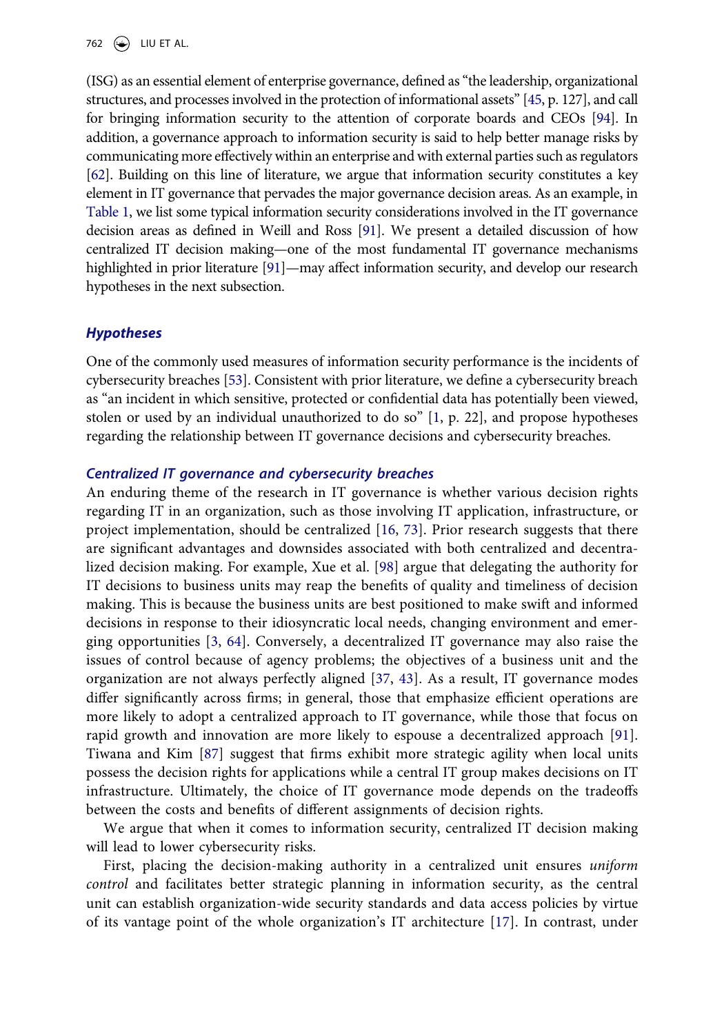762 LIU ET AL.

(ISG) as an essential element of enterprise governance, defined as "the leadership, organizational structures, and processes involved in the protection of informational assets" [\[45,](#page-26-7) p. 127], and call for bringing information security to the attention of corporate boards and CEOs [\[94\]](#page-28-5). In addition, a governance approach to information security is said to help better manage risks by communicating more effectively within an enterprise and with external parties such as regulators [\[62](#page-27-9)]. Building on this line of literature, we argue that information security constitutes a key element in IT governance that pervades the major governance decision areas. As an example, in [Table 1,](#page-5-0) we list some typical information security considerations involved in the IT governance decision areas as defined in Weill and Ross [\[91](#page-28-1)]. We present a detailed discussion of how centralized IT decision making—one of the most fundamental IT governance mechanisms highlighted in prior literature [\[91](#page-28-1)]—may affect information security, and develop our research hypotheses in the next subsection.

#### *Hypotheses*

One of the commonly used measures of information security performance is the incidents of cybersecurity breaches [\[53\]](#page-26-2). Consistent with prior literature, we define a cybersecurity breach as "an incident in which sensitive, protected or confidential data has potentially been viewed, stolen or used by an individual unauthorized to do so" [\[1](#page-24-5), p. 22], and propose hypotheses regarding the relationship between IT governance decisions and cybersecurity breaches.

#### *Centralized IT governance and cybersecurity breaches*

An enduring theme of the research in IT governance is whether various decision rights regarding IT in an organization, such as those involving IT application, infrastructure, or project implementation, should be centralized [\[16](#page-25-11), [73](#page-27-8)]. Prior research suggests that there are significant advantages and downsides associated with both centralized and decentralized decision making. For example, Xue et al. [\[98](#page-28-0)] argue that delegating the authority for IT decisions to business units may reap the benefits of quality and timeliness of decision making. This is because the business units are best positioned to make swift and informed decisions in response to their idiosyncratic local needs, changing environment and emerging opportunities [[3,](#page-24-6) [64](#page-27-10)]. Conversely, a decentralized IT governance may also raise the issues of control because of agency problems; the objectives of a business unit and the organization are not always perfectly aligned [[37,](#page-26-8) [43\]](#page-26-9). As a result, IT governance modes differ significantly across firms; in general, those that emphasize efficient operations are more likely to adopt a centralized approach to IT governance, while those that focus on rapid growth and innovation are more likely to espouse a decentralized approach [\[91](#page-28-1)]. Tiwana and Kim [\[87](#page-28-6)] suggest that firms exhibit more strategic agility when local units possess the decision rights for applications while a central IT group makes decisions on IT infrastructure. Ultimately, the choice of IT governance mode depends on the tradeoffs between the costs and benefits of different assignments of decision rights.

We argue that when it comes to information security, centralized IT decision making will lead to lower cybersecurity risks.

First, placing the decision-making authority in a centralized unit ensures *uniform control* and facilitates better strategic planning in information security, as the central unit can establish organization-wide security standards and data access policies by virtue of its vantage point of the whole organization's IT architecture [[17\]](#page-25-12). In contrast, under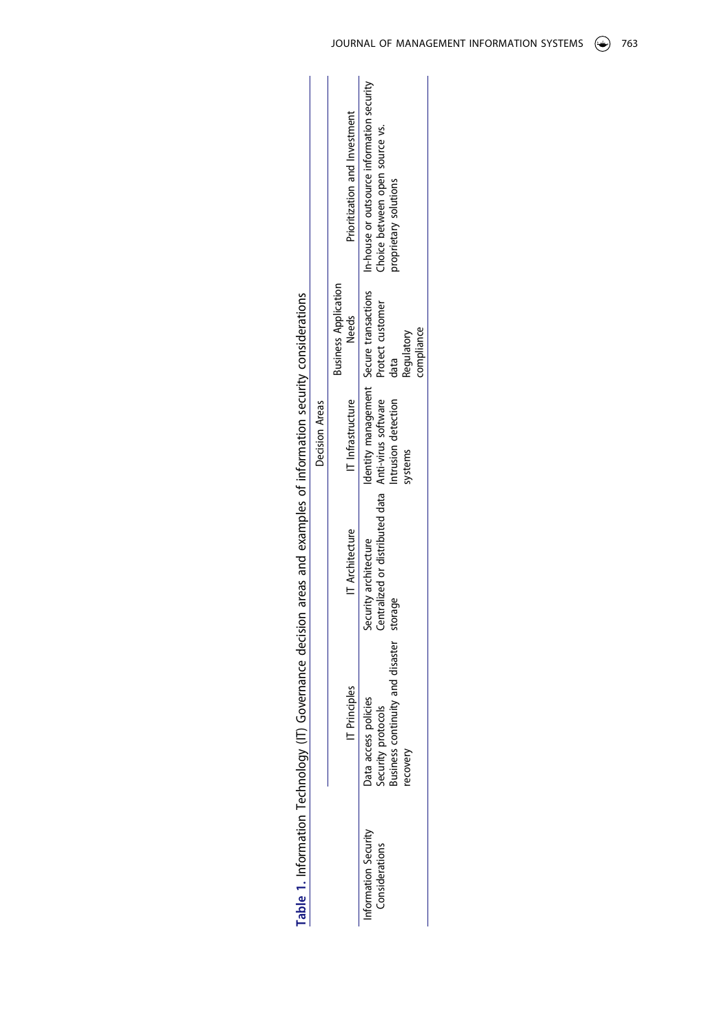<span id="page-5-0"></span>

|                                       |                                            |                                                                                               | <b>Decision Areas</b> |                               |                                                                                                                      |
|---------------------------------------|--------------------------------------------|-----------------------------------------------------------------------------------------------|-----------------------|-------------------------------|----------------------------------------------------------------------------------------------------------------------|
|                                       | T Principles                               | IT Architecture                                                                               | IT Infrastructure     | susiness Application<br>Needs | Prioritization and Investment                                                                                        |
| iformation Security<br>Considerations | Data access policies<br>Security protocols | Jentralized or distributed data Anti-virus software Protect customer<br>Security architecture |                       |                               | Identity management Secure transactions In-house or outsource information security<br>Choice between open source vs. |
|                                       | usiness continuity and disaster            | storage                                                                                       | ntrusion detection    | data                          | proprietary solutions                                                                                                |
|                                       | ecover)                                    |                                                                                               | ystems                | Regulatory                    |                                                                                                                      |
|                                       |                                            |                                                                                               |                       | compliance                    |                                                                                                                      |

Table 1. Information Technology (IT) Governance decision areas and examples of information security considerations **Table 1.** Information Technology (IT) Governance decision areas and examples of information security considerations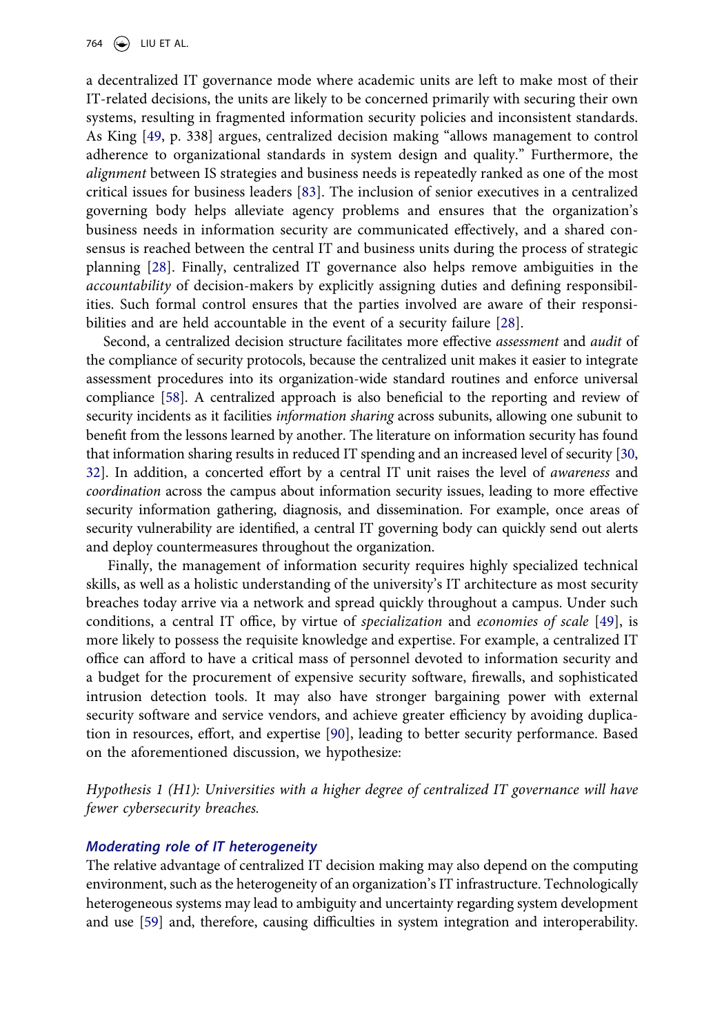764  $\left(\bigcirc\right)$  LIU ET AL.

a decentralized IT governance mode where academic units are left to make most of their IT-related decisions, the units are likely to be concerned primarily with securing their own systems, resulting in fragmented information security policies and inconsistent standards. As King [\[49](#page-26-10), p. 338] argues, centralized decision making "allows management to control adherence to organizational standards in system design and quality." Furthermore, the *alignment* between IS strategies and business needs is repeatedly ranked as one of the most critical issues for business leaders [\[83](#page-28-7)]. The inclusion of senior executives in a centralized governing body helps alleviate agency problems and ensures that the organization's business needs in information security are communicated effectively, and a shared consensus is reached between the central IT and business units during the process of strategic planning [[28\]](#page-25-8). Finally, centralized IT governance also helps remove ambiguities in the *accountability* of decision-makers by explicitly assigning duties and defining responsibilities. Such formal control ensures that the parties involved are aware of their responsibilities and are held accountable in the event of a security failure [[28\]](#page-25-8).

Second, a centralized decision structure facilitates more effective *assessment* and *audit* of the compliance of security protocols, because the centralized unit makes it easier to integrate assessment procedures into its organization-wide standard routines and enforce universal compliance [\[58](#page-26-11)]. A centralized approach is also beneficial to the reporting and review of security incidents as it facilities *information sharing* across subunits, allowing one subunit to benefit from the lessons learned by another. The literature on information security has found that information sharing results in reduced IT spending and an increased level of security [\[30,](#page-25-13) [32\]](#page-25-14). In addition, a concerted effort by a central IT unit raises the level of *awareness* and *coordination* across the campus about information security issues, leading to more effective security information gathering, diagnosis, and dissemination. For example, once areas of security vulnerability are identified, a central IT governing body can quickly send out alerts and deploy countermeasures throughout the organization.

Finally, the management of information security requires highly specialized technical skills, as well as a holistic understanding of the university's IT architecture as most security breaches today arrive via a network and spread quickly throughout a campus. Under such conditions, a central IT office, by virtue of *specialization* and *economies of scale* [\[49\]](#page-26-10), is more likely to possess the requisite knowledge and expertise. For example, a centralized IT office can afford to have a critical mass of personnel devoted to information security and a budget for the procurement of expensive security software, firewalls, and sophisticated intrusion detection tools. It may also have stronger bargaining power with external security software and service vendors, and achieve greater efficiency by avoiding duplication in resources, effort, and expertise [\[90](#page-28-8)], leading to better security performance. Based on the aforementioned discussion, we hypothesize:

*Hypothesis 1 (H1): Universities with a higher degree of centralized IT governance will have fewer cybersecurity breaches.* 

#### *Moderating role of IT heterogeneity*

The relative advantage of centralized IT decision making may also depend on the computing environment, such as the heterogeneity of an organization's IT infrastructure. Technologically heterogeneous systems may lead to ambiguity and uncertainty regarding system development and use [\[59](#page-27-11)] and, therefore, causing difficulties in system integration and interoperability.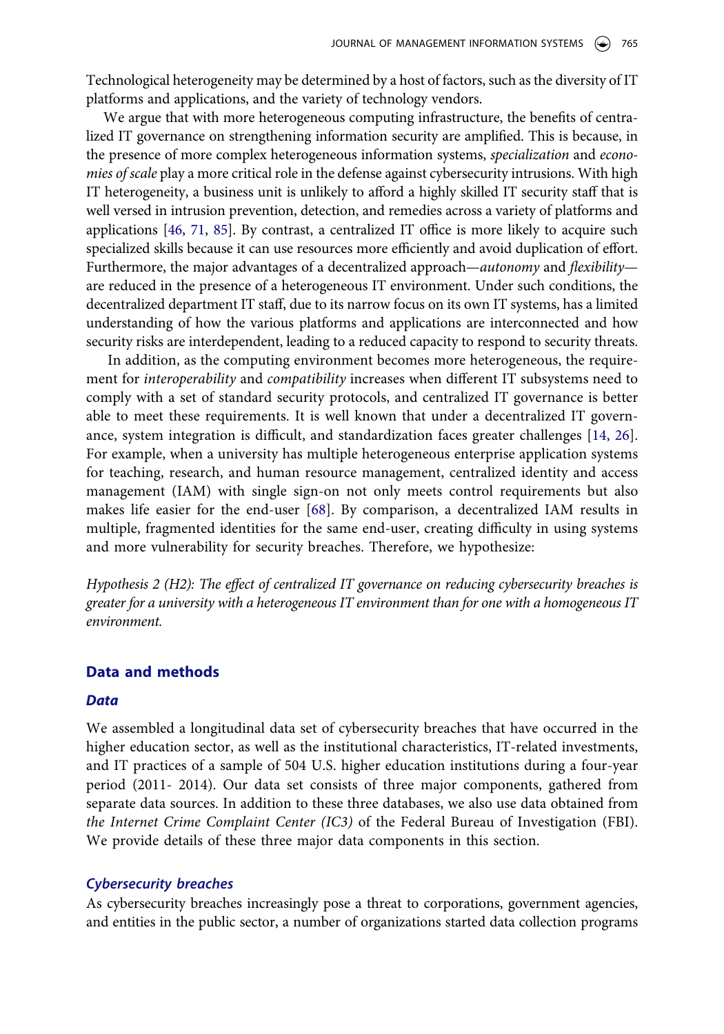Technological heterogeneity may be determined by a host of factors, such as the diversity of IT platforms and applications, and the variety of technology vendors.

We argue that with more heterogeneous computing infrastructure, the benefits of centralized IT governance on strengthening information security are amplified. This is because, in the presence of more complex heterogeneous information systems, *specialization* and *economies of scale* play a more critical role in the defense against cybersecurity intrusions. With high IT heterogeneity, a business unit is unlikely to afford a highly skilled IT security staff that is well versed in intrusion prevention, detection, and remedies across a variety of platforms and applications [\[46,](#page-26-12) [71,](#page-27-12) [85](#page-28-9)]. By contrast, a centralized IT office is more likely to acquire such specialized skills because it can use resources more efficiently and avoid duplication of effort. Furthermore, the major advantages of a decentralized approach—*autonomy* and *flexibility* are reduced in the presence of a heterogeneous IT environment. Under such conditions, the decentralized department IT staff, due to its narrow focus on its own IT systems, has a limited understanding of how the various platforms and applications are interconnected and how security risks are interdependent, leading to a reduced capacity to respond to security threats.

In addition, as the computing environment becomes more heterogeneous, the requirement for *interoperability* and *compatibility* increases when different IT subsystems need to comply with a set of standard security protocols, and centralized IT governance is better able to meet these requirements. It is well known that under a decentralized IT governance, system integration is difficult, and standardization faces greater challenges [\[14](#page-25-15), [26](#page-25-16)]. For example, when a university has multiple heterogeneous enterprise application systems for teaching, research, and human resource management, centralized identity and access management (IAM) with single sign-on not only meets control requirements but also makes life easier for the end-user [[68\]](#page-27-13). By comparison, a decentralized IAM results in multiple, fragmented identities for the same end-user, creating difficulty in using systems and more vulnerability for security breaches. Therefore, we hypothesize:

*Hypothesis 2 (H2): The effect of centralized IT governance on reducing cybersecurity breaches is greater for a university with a heterogeneous IT environment than for one with a homogeneous IT environment.* 

## **Data and methods**

#### *Data*

We assembled a longitudinal data set of cybersecurity breaches that have occurred in the higher education sector, as well as the institutional characteristics, IT-related investments, and IT practices of a sample of 504 U.S. higher education institutions during a four-year period (2011- 2014). Our data set consists of three major components, gathered from separate data sources. In addition to these three databases, we also use data obtained from *the Internet Crime Complaint Center (IC3)* of the Federal Bureau of Investigation (FBI). We provide details of these three major data components in this section.

#### *Cybersecurity breaches*

As cybersecurity breaches increasingly pose a threat to corporations, government agencies, and entities in the public sector, a number of organizations started data collection programs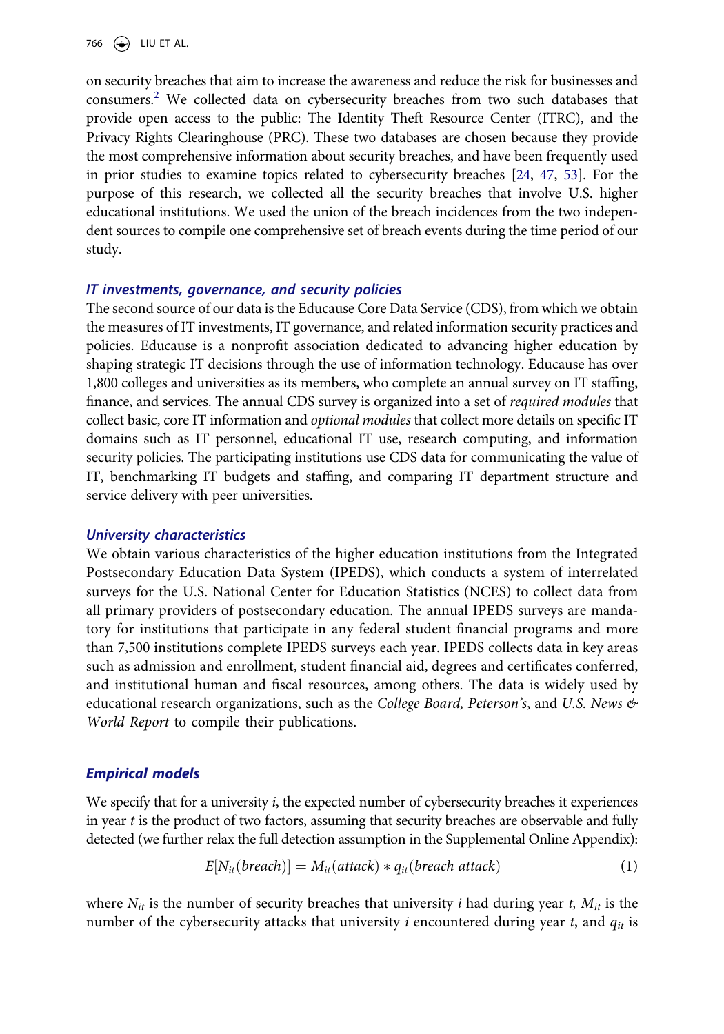on security breaches that aim to increase the awareness and reduce the risk for businesses and consumers[.2](#page-23-1) We collected data on cybersecurity breaches from two such databases that provide open access to the public: The Identity Theft Resource Center (ITRC), and the Privacy Rights Clearinghouse (PRC). These two databases are chosen because they provide the most comprehensive information about security breaches, and have been frequently used in prior studies to examine topics related to cybersecurity breaches [\[24](#page-25-17), [47,](#page-26-13) [53](#page-26-2)]. For the purpose of this research, we collected all the security breaches that involve U.S. higher educational institutions. We used the union of the breach incidences from the two independent sources to compile one comprehensive set of breach events during the time period of our study.

### *IT investments, governance, and security policies*

The second source of our data is the Educause Core Data Service (CDS), from which we obtain the measures of IT investments, IT governance, and related information security practices and policies. Educause is a nonprofit association dedicated to advancing higher education by shaping strategic IT decisions through the use of information technology. Educause has over 1,800 colleges and universities as its members, who complete an annual survey on IT staffing, finance, and services. The annual CDS survey is organized into a set of *required modules* that collect basic, core IT information and *optional modules* that collect more details on specific IT domains such as IT personnel, educational IT use, research computing, and information security policies. The participating institutions use CDS data for communicating the value of IT, benchmarking IT budgets and staffing, and comparing IT department structure and service delivery with peer universities.

#### *University characteristics*

We obtain various characteristics of the higher education institutions from the Integrated Postsecondary Education Data System (IPEDS), which conducts a system of interrelated surveys for the U.S. National Center for Education Statistics (NCES) to collect data from all primary providers of postsecondary education. The annual IPEDS surveys are mandatory for institutions that participate in any federal student financial programs and more than 7,500 institutions complete IPEDS surveys each year. IPEDS collects data in key areas such as admission and enrollment, student financial aid, degrees and certificates conferred, and institutional human and fiscal resources, among others. The data is widely used by educational research organizations, such as the *College Board, Peterson's*, and *U.S. News & World Report* to compile their publications.

## *Empirical models*

We specify that for a university *i*, the expected number of cybersecurity breaches it experiences in year *t* is the product of two factors, assuming that security breaches are observable and fully detected (we further relax the full detection assumption in the Supplemental Online Appendix):

$$
E[N_{it}(break)] = M_{it}(attack) * q_{it}(break|attack)
$$
\n(1)

where  $N_{it}$  is the number of security breaches that university *i* had during year *t*,  $M_{it}$  is the number of the cybersecurity attacks that university  $i$  encountered during year  $t$ , and  $q_{it}$  is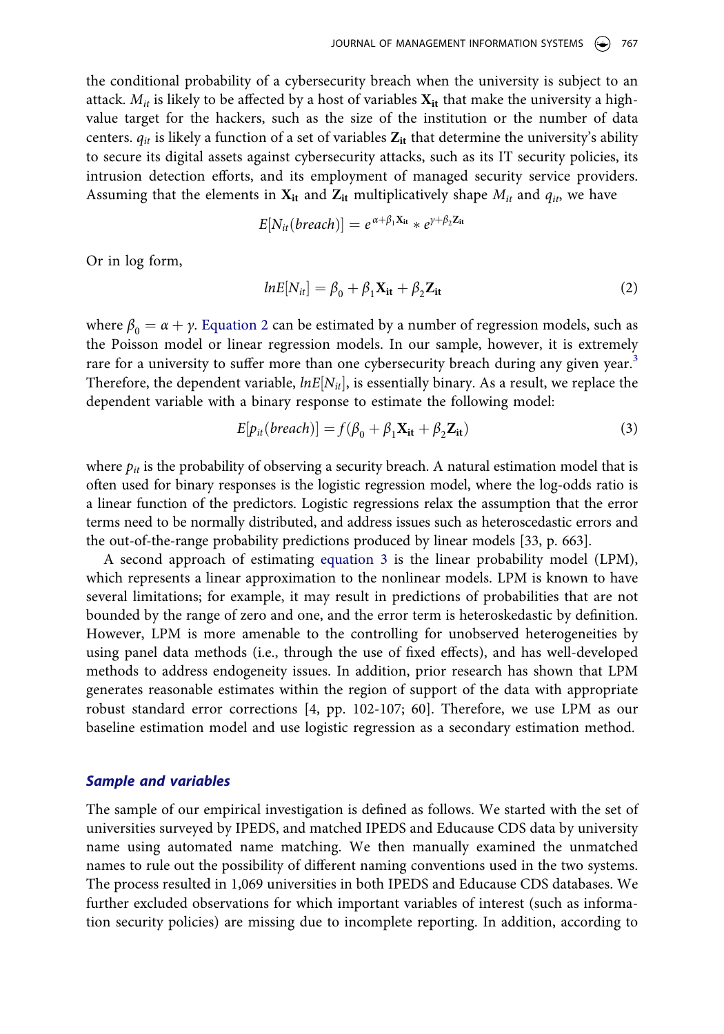the conditional probability of a cybersecurity breach when the university is subject to an attack.  $M_{it}$  is likely to be affected by a host of variables  $X_{it}$  that make the university a highvalue target for the hackers, such as the size of the institution or the number of data centers. *qit* is likely a function of a set of variables **Zit** that determine the university's ability to secure its digital assets against cybersecurity attacks, such as its IT security policies, its intrusion detection efforts, and its employment of managed security service providers. Assuming that the elements in  $X_{it}$  and  $Z_{it}$  multiplicatively shape  $M_{it}$  and  $q_{it}$ , we have

$$
E[N_{it}(break)] = e^{\alpha + \beta_1 X_{it}} * e^{\gamma + \beta_2 Z_{it}}
$$

Or in log form,

$$
lnE[N_{it}] = \beta_0 + \beta_1 \mathbf{X}_{it} + \beta_2 \mathbf{Z}_{it}
$$
 (2)

where  $\beta_0 = \alpha + \gamma$ . Equation 2 can be estimated by a number of regression models, such as the Poisson model or linear regression models. In our sample, however, it is extremely rare for a university to suffer more than one cybersecurity breach during any given year.<sup>[3](#page-24-7)</sup> Therefore, the dependent variable,  $lnE[N_{it}]$ , is essentially binary. As a result, we replace the dependent variable with a binary response to estimate the following model:

$$
E[p_{it}(breakh)] = f(\beta_0 + \beta_1 \mathbf{X}_{it} + \beta_2 \mathbf{Z}_{it})
$$
\n(3)

where  $p_{it}$  is the probability of observing a security breach. A natural estimation model that is often used for binary responses is the logistic regression model, where the log-odds ratio is a linear function of the predictors. Logistic regressions relax the assumption that the error terms need to be normally distributed, and address issues such as heteroscedastic errors and the out-of-the-range probability predictions produced by linear models [33, p. 663].

A second approach of estimating equation 3 is the linear probability model (LPM), which represents a linear approximation to the nonlinear models. LPM is known to have several limitations; for example, it may result in predictions of probabilities that are not bounded by the range of zero and one, and the error term is heteroskedastic by definition. However, LPM is more amenable to the controlling for unobserved heterogeneities by using panel data methods (i.e., through the use of fixed effects), and has well-developed methods to address endogeneity issues. In addition, prior research has shown that LPM generates reasonable estimates within the region of support of the data with appropriate robust standard error corrections [4, pp. 102-107; 60]. Therefore, we use LPM as our baseline estimation model and use logistic regression as a secondary estimation method.

#### *Sample and variables*

The sample of our empirical investigation is defined as follows. We started with the set of universities surveyed by IPEDS, and matched IPEDS and Educause CDS data by university name using automated name matching. We then manually examined the unmatched names to rule out the possibility of different naming conventions used in the two systems. The process resulted in 1,069 universities in both IPEDS and Educause CDS databases. We further excluded observations for which important variables of interest (such as information security policies) are missing due to incomplete reporting. In addition, according to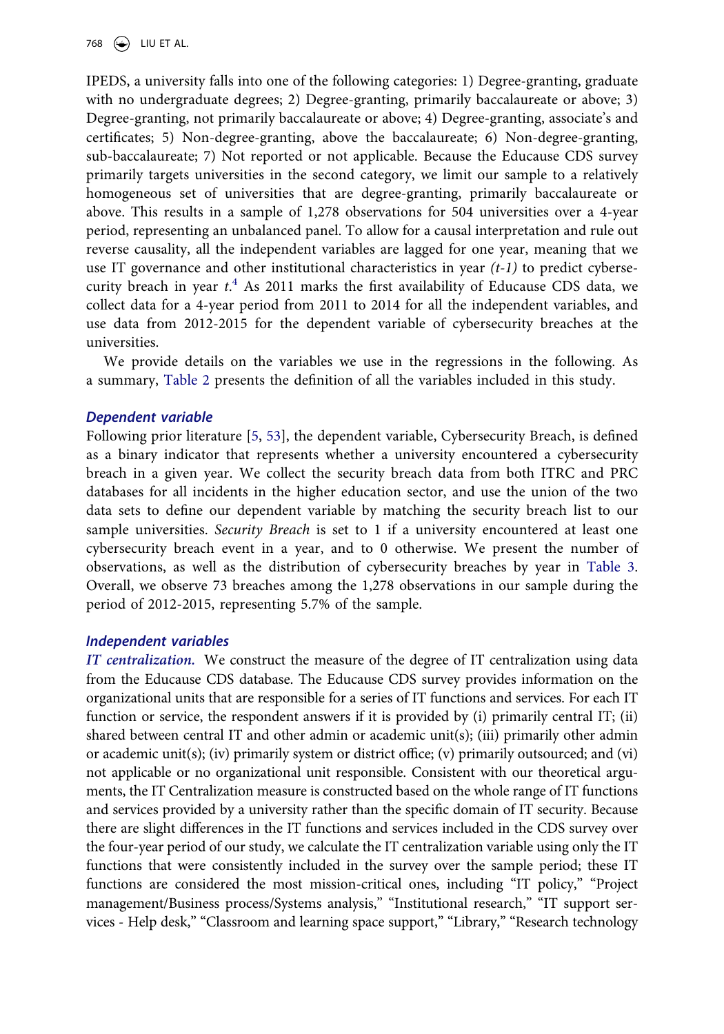IPEDS, a university falls into one of the following categories: 1) Degree-granting, graduate with no undergraduate degrees; 2) Degree-granting, primarily baccalaureate or above; 3) Degree-granting, not primarily baccalaureate or above; 4) Degree-granting, associate's and certificates; 5) Non-degree-granting, above the baccalaureate; 6) Non-degree-granting, sub-baccalaureate; 7) Not reported or not applicable. Because the Educause CDS survey primarily targets universities in the second category, we limit our sample to a relatively homogeneous set of universities that are degree-granting, primarily baccalaureate or above. This results in a sample of 1,278 observations for 504 universities over a 4-year period, representing an unbalanced panel. To allow for a causal interpretation and rule out reverse causality, all the independent variables are lagged for one year, meaning that we use IT governance and other institutional characteristics in year *(t-1)* to predict cybersecurity breach in year *t*. [4](#page-24-8) As 2011 marks the first availability of Educause CDS data, we collect data for a 4-year period from 2011 to 2014 for all the independent variables, and use data from 2012-2015 for the dependent variable of cybersecurity breaches at the universities.

We provide details on the variables we use in the regressions in the following. As a summary, [Table 2](#page-11-0) presents the definition of all the variables included in this study.

### *Dependent variable*

Following prior literature [\[5](#page-24-9), [53\]](#page-26-2), the dependent variable, Cybersecurity Breach, is defined as a binary indicator that represents whether a university encountered a cybersecurity breach in a given year. We collect the security breach data from both ITRC and PRC databases for all incidents in the higher education sector, and use the union of the two data sets to define our dependent variable by matching the security breach list to our sample universities. *Security Breach* is set to 1 if a university encountered at least one cybersecurity breach event in a year, and to 0 otherwise. We present the number of observations, as well as the distribution of cybersecurity breaches by year in [Table 3.](#page-12-0) Overall, we observe 73 breaches among the 1,278 observations in our sample during the period of 2012-2015, representing 5.7% of the sample.

#### *Independent variables*

*IT centralization.* We construct the measure of the degree of IT centralization using data from the Educause CDS database. The Educause CDS survey provides information on the organizational units that are responsible for a series of IT functions and services. For each IT function or service, the respondent answers if it is provided by (i) primarily central IT; (ii) shared between central IT and other admin or academic unit(s); (iii) primarily other admin or academic unit(s); (iv) primarily system or district office; (v) primarily outsourced; and (vi) not applicable or no organizational unit responsible. Consistent with our theoretical arguments, the IT Centralization measure is constructed based on the whole range of IT functions and services provided by a university rather than the specific domain of IT security. Because there are slight differences in the IT functions and services included in the CDS survey over the four-year period of our study, we calculate the IT centralization variable using only the IT functions that were consistently included in the survey over the sample period; these IT functions are considered the most mission-critical ones, including "IT policy," "Project management/Business process/Systems analysis," "Institutional research," "IT support services - Help desk," "Classroom and learning space support," "Library," "Research technology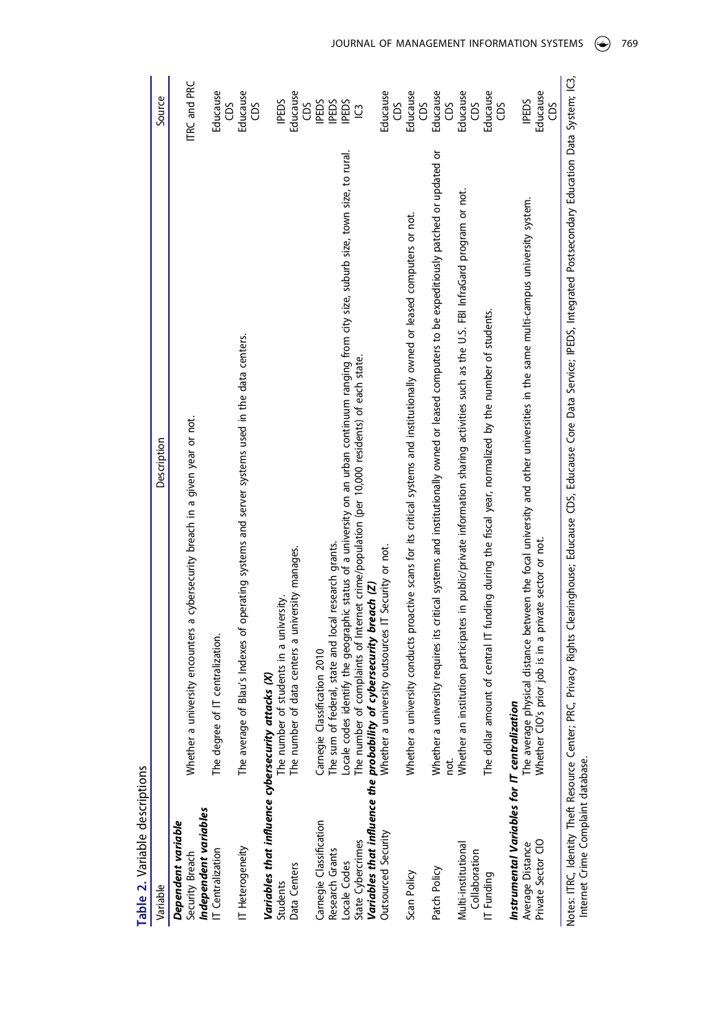<span id="page-11-0"></span>

| Table 2. Variable descriptions                                                                                              |                                                                                                                                                                                                                                                                                                                                                                      |                                                                |
|-----------------------------------------------------------------------------------------------------------------------------|----------------------------------------------------------------------------------------------------------------------------------------------------------------------------------------------------------------------------------------------------------------------------------------------------------------------------------------------------------------------|----------------------------------------------------------------|
| Variable                                                                                                                    | Description                                                                                                                                                                                                                                                                                                                                                          | Source                                                         |
| Independent variables<br>Dependent variable<br>Security Breach                                                              | Whether a university encounters a cybersecurity breach in a given year or not.                                                                                                                                                                                                                                                                                       | <b>ITRC and PRC</b>                                            |
| <b>IT</b> Centralization                                                                                                    | The degree of IT centralization.                                                                                                                                                                                                                                                                                                                                     | Educause<br>CDS                                                |
| IT Heterogeneity                                                                                                            | The average of Blau's Indexes of operating systems and server systems used in the data centers.                                                                                                                                                                                                                                                                      | Educause<br>CDS                                                |
| Variables that influence cybersecurity at<br>Data Centers<br><b>Students</b>                                                | of data centers a university manages.<br>of students in a university.<br>tacks (X)<br>The number<br>The number                                                                                                                                                                                                                                                       | Educause<br><b>IPEDS</b>                                       |
| Variables that influence the probability<br>Carnegie Classification<br>State Cybercrimes<br>Research Grants<br>Locale Codes | Locale codes identify the geographic status of a university on an urban continuum ranging from city size, suburb size, town size, to rural.<br>of complaints of Internet crime/population (per 10,000 residents) of each state.<br>The sum of federal, state and local research grants.<br>of cybersecurity breach (Z)<br>Carnegie Classification 2010<br>The number | <b>IPEDS</b><br><b>PEDS</b><br>PEDS<br>CDS<br>$\tilde{\Omega}$ |
| Outsourced Security                                                                                                         | niversity outsources IT Security or not.<br>Whether a ur                                                                                                                                                                                                                                                                                                             | Educause<br>GDS                                                |
| Scan Policy                                                                                                                 | Whether a university conducts proactive scans for its critical systems and institutionally owned or leased computers or not.                                                                                                                                                                                                                                         | Educause<br>CDS                                                |
| Patch Policy                                                                                                                | Whether a university requires its critical systems and institutionally owned or leased computers to be expeditiously patched or updated or<br>not.                                                                                                                                                                                                                   | Educause<br>CDS                                                |
| Multi-institutional<br>Collaboration                                                                                        | Whether an institution participates in public/private information sharing activities such as the U.S. FBI InfraGard program or not.                                                                                                                                                                                                                                  | Educause<br>CDS                                                |
| IT Funding                                                                                                                  | The dollar amount of central IT funding during the fiscal year, normalized by the number of students.                                                                                                                                                                                                                                                                | Educause<br>ξ                                                  |
| Instrumental Variables for IT centralization<br>Private Sector CIO<br>Average Distance                                      | physical distance between the focal university and other universities in the same multi-campus university system.<br>s prior job is in a private sector or not.<br>Whether CIO'<br>The average                                                                                                                                                                       | Educause<br><b>IPEDS</b><br>CDS                                |
|                                                                                                                             |                                                                                                                                                                                                                                                                                                                                                                      |                                                                |

Notes: ITRC, Identity Theft Resource Center; PRC, Privacy Rights Clearinghouse; Educause CDS, Educause Core Data Service; IPEDS, Integrated Postsecondary Education Data System; IC3,

Internet Crime Complaint database.

JOURNAL OF MANAGEMENT INFORMATION SYSTEMS  $\circledast$  769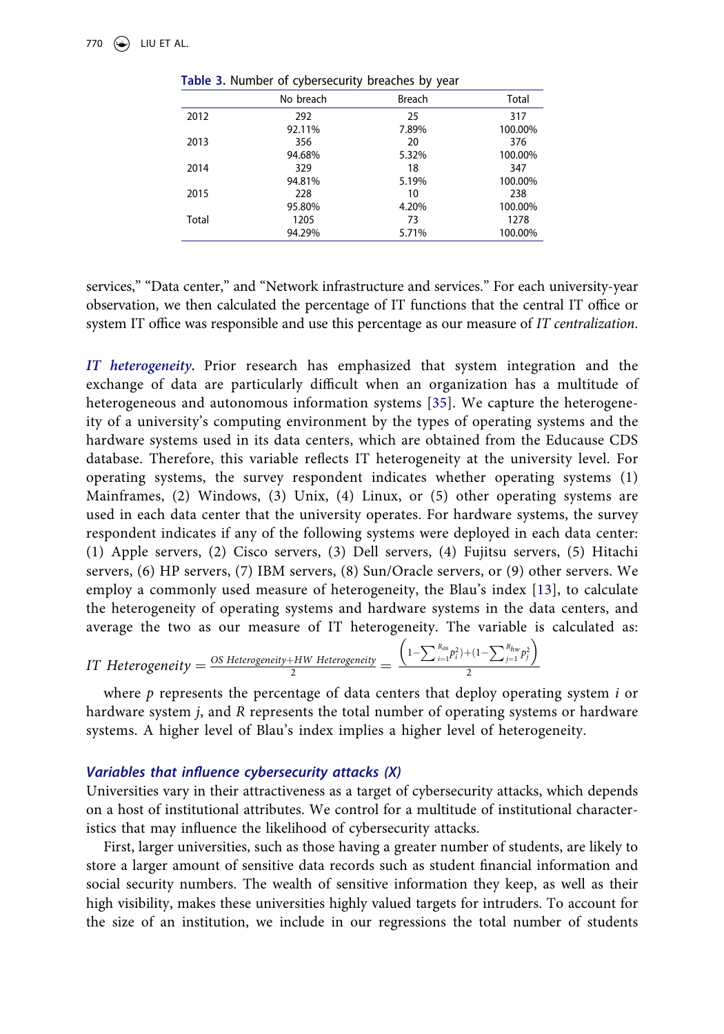|       |           | . .    |         |
|-------|-----------|--------|---------|
|       | No breach | Breach | Total   |
| 2012  | 292       | 25     | 317     |
|       | 92.11%    | 7.89%  | 100.00% |
| 2013  | 356       | 20     | 376     |
|       | 94.68%    | 5.32%  | 100.00% |
| 2014  | 329       | 18     | 347     |
|       | 94.81%    | 5.19%  | 100.00% |
| 2015  | 228       | 10     | 238     |
|       | 95.80%    | 4.20%  | 100.00% |
| Total | 1205      | 73     | 1278    |
|       | 94.29%    | 5.71%  | 100.00% |

<span id="page-12-0"></span>**Table 3.** Number of cybersecurity breaches by year

services," "Data center," and "Network infrastructure and services." For each university-year observation, we then calculated the percentage of IT functions that the central IT office or system IT office was responsible and use this percentage as our measure of *IT centralization*.

*IT heterogeneity.* Prior research has emphasized that system integration and the exchange of data are particularly difficult when an organization has a multitude of heterogeneous and autonomous information systems [[35](#page-26-14)]. We capture the heterogeneity of a university's computing environment by the types of operating systems and the hardware systems used in its data centers, which are obtained from the Educause CDS database. Therefore, this variable reflects IT heterogeneity at the university level. For operating systems, the survey respondent indicates whether operating systems (1) Mainframes, (2) Windows, (3) Unix, (4) Linux, or (5) other operating systems are used in each data center that the university operates. For hardware systems, the survey respondent indicates if any of the following systems were deployed in each data center: (1) Apple servers, (2) Cisco servers, (3) Dell servers, (4) Fujitsu servers, (5) Hitachi servers, (6) HP servers, (7) IBM servers, (8) Sun/Oracle servers, or (9) other servers. We employ a commonly used measure of heterogeneity, the Blau's index [[13](#page-24-10)], to calculate the heterogeneity of operating systems and hardware systems in the data centers, and average the two as our measure of IT heterogeneity. The variable is calculated as:

$$
IT \; Heterogeneity = \frac{OS \; Heterogeneity + HW \; Heterogeneity}{2} = \frac{\left(1 - \sum_{i=1}^{R_{os}} p_i^2\right) + \left(1 - \sum_{j=1}^{R_{hw}} p_j^2\right)}{2}
$$

where *p* represents the percentage of data centers that deploy operating system *i* or hardware system *j*, and *R* represents the total number of operating systems or hardware systems. A higher level of Blau's index implies a higher level of heterogeneity.

#### *Variables that influence cybersecurity attacks (X)*

Universities vary in their attractiveness as a target of cybersecurity attacks, which depends on a host of institutional attributes. We control for a multitude of institutional characteristics that may influence the likelihood of cybersecurity attacks.

First, larger universities, such as those having a greater number of students, are likely to store a larger amount of sensitive data records such as student financial information and social security numbers. The wealth of sensitive information they keep, as well as their high visibility, makes these universities highly valued targets for intruders. To account for the size of an institution, we include in our regressions the total number of students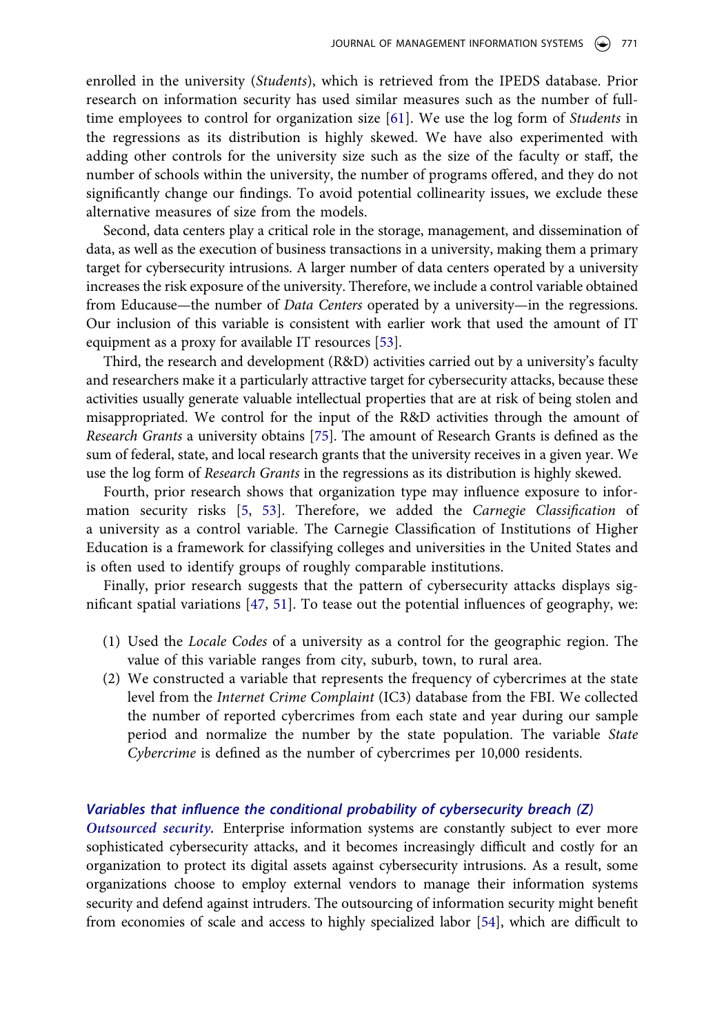enrolled in the university (*Students*), which is retrieved from the IPEDS database. Prior research on information security has used similar measures such as the number of fulltime employees to control for organization size [[61\]](#page-27-14). We use the log form of *Students* in the regressions as its distribution is highly skewed. We have also experimented with adding other controls for the university size such as the size of the faculty or staff, the number of schools within the university, the number of programs offered, and they do not significantly change our findings. To avoid potential collinearity issues, we exclude these alternative measures of size from the models.

Second, data centers play a critical role in the storage, management, and dissemination of data, as well as the execution of business transactions in a university, making them a primary target for cybersecurity intrusions. A larger number of data centers operated by a university increases the risk exposure of the university. Therefore, we include a control variable obtained from Educause—the number of *Data Centers* operated by a university—in the regressions. Our inclusion of this variable is consistent with earlier work that used the amount of IT equipment as a proxy for available IT resources [\[53](#page-26-2)].

Third, the research and development (R&D) activities carried out by a university's faculty and researchers make it a particularly attractive target for cybersecurity attacks, because these activities usually generate valuable intellectual properties that are at risk of being stolen and misappropriated. We control for the input of the R&D activities through the amount of *Research Grants* a university obtains [[75\]](#page-27-15). The amount of Research Grants is defined as the sum of federal, state, and local research grants that the university receives in a given year. We use the log form of *Research Grants* in the regressions as its distribution is highly skewed.

Fourth, prior research shows that organization type may influence exposure to information security risks [[5](#page-24-9), [53\]](#page-26-2). Therefore, we added the *Carnegie Classification* of a university as a control variable. The Carnegie Classification of Institutions of Higher Education is a framework for classifying colleges and universities in the United States and is often used to identify groups of roughly comparable institutions.

Finally, prior research suggests that the pattern of cybersecurity attacks displays significant spatial variations [\[47,](#page-26-13) [51](#page-26-15)]. To tease out the potential influences of geography, we:

- (1) Used the *Locale Codes* of a university as a control for the geographic region. The value of this variable ranges from city, suburb, town, to rural area.
- (2) We constructed a variable that represents the frequency of cybercrimes at the state level from the *Internet Crime Complaint* (IC3) database from the FBI. We collected the number of reported cybercrimes from each state and year during our sample period and normalize the number by the state population. The variable *State Cybercrime* is defined as the number of cybercrimes per 10,000 residents.

## *Variables that influence the conditional probability of cybersecurity breach (Z)*

*Outsourced security.* Enterprise information systems are constantly subject to ever more sophisticated cybersecurity attacks, and it becomes increasingly difficult and costly for an organization to protect its digital assets against cybersecurity intrusions. As a result, some organizations choose to employ external vendors to manage their information systems security and defend against intruders. The outsourcing of information security might benefit from economies of scale and access to highly specialized labor [\[54\]](#page-26-16), which are difficult to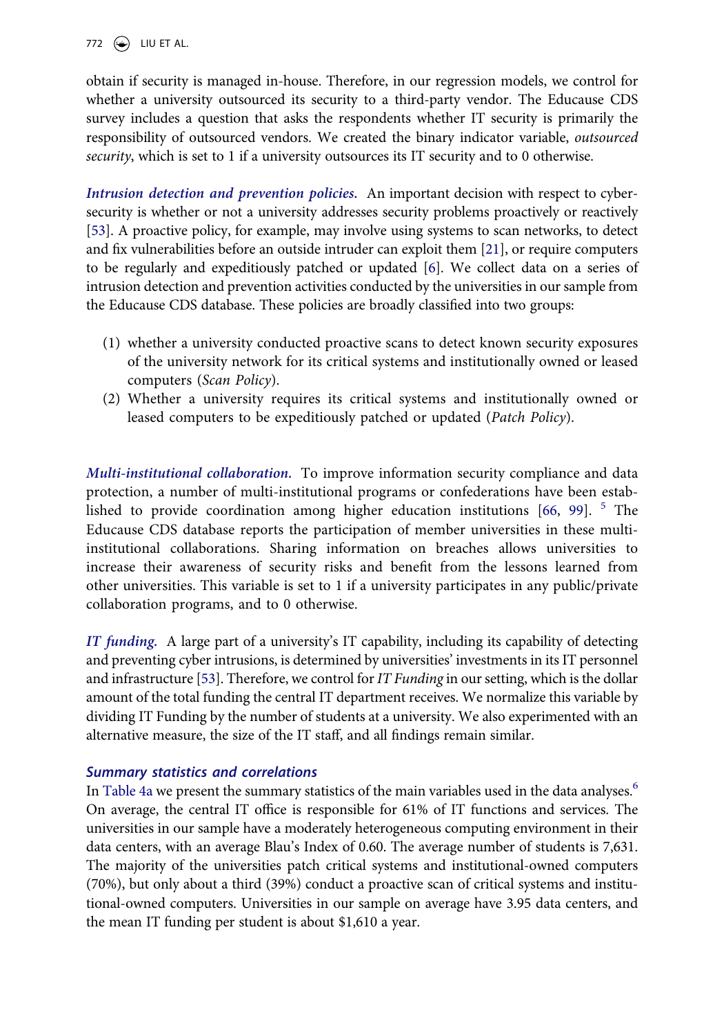obtain if security is managed in-house. Therefore, in our regression models, we control for whether a university outsourced its security to a third-party vendor. The Educause CDS survey includes a question that asks the respondents whether IT security is primarily the responsibility of outsourced vendors. We created the binary indicator variable, *outsourced security*, which is set to 1 if a university outsources its IT security and to 0 otherwise.

*Intrusion detection and prevention policies.* An important decision with respect to cybersecurity is whether or not a university addresses security problems proactively or reactively [\[53](#page-26-2)]. A proactive policy, for example, may involve using systems to scan networks, to detect and fix vulnerabilities before an outside intruder can exploit them [\[21\]](#page-25-2), or require computers to be regularly and expeditiously patched or updated [\[6](#page-24-2)]. We collect data on a series of intrusion detection and prevention activities conducted by the universities in our sample from the Educause CDS database. These policies are broadly classified into two groups:

- (1) whether a university conducted proactive scans to detect known security exposures of the university network for its critical systems and institutionally owned or leased computers (*Scan Policy*).
- (2) Whether a university requires its critical systems and institutionally owned or leased computers to be expeditiously patched or updated (*Patch Policy*).

*Multi-institutional collaboration.* To improve information security compliance and data protection, a number of multi-institutional programs or confederations have been established to provide coordination among higher education institutions  $[66, 99]$  $[66, 99]$  $[66, 99]$  $[66, 99]$  $[66, 99]$ . <sup>5</sup> The Educause CDS database reports the participation of member universities in these multiinstitutional collaborations. Sharing information on breaches allows universities to increase their awareness of security risks and benefit from the lessons learned from other universities. This variable is set to 1 if a university participates in any public/private collaboration programs, and to 0 otherwise.

*IT funding.* A large part of a university's IT capability, including its capability of detecting and preventing cyber intrusions, is determined by universities' investments in its IT personnel and infrastructure [\[53\]](#page-26-2). Therefore, we control for *IT Funding* in our setting, which is the dollar amount of the total funding the central IT department receives. We normalize this variable by dividing IT Funding by the number of students at a university. We also experimented with an alternative measure, the size of the IT staff, and all findings remain similar.

## *Summary statistics and correlations*

In [Table 4a](#page-15-0) we present the summary statistics of the main variables used in the data analyses.<sup>6</sup> On average, the central IT office is responsible for 61% of IT functions and services. The universities in our sample have a moderately heterogeneous computing environment in their data centers, with an average Blau's Index of 0.60. The average number of students is 7,631. The majority of the universities patch critical systems and institutional-owned computers (70%), but only about a third (39%) conduct a proactive scan of critical systems and institutional-owned computers. Universities in our sample on average have 3.95 data centers, and the mean IT funding per student is about \$1,610 a year.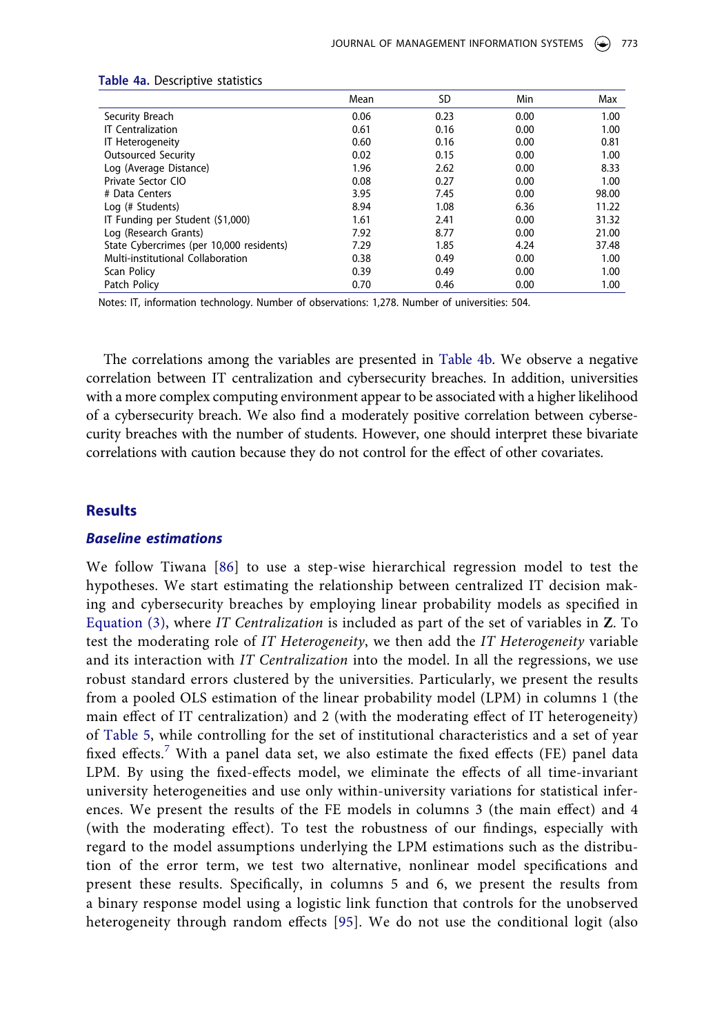|                                          | Mean | <b>SD</b> | Min  | Max   |
|------------------------------------------|------|-----------|------|-------|
| Security Breach                          | 0.06 | 0.23      | 0.00 | 1.00  |
| <b>IT Centralization</b>                 | 0.61 | 0.16      | 0.00 | 1.00  |
| <b>IT Heterogeneity</b>                  | 0.60 | 0.16      | 0.00 | 0.81  |
| <b>Outsourced Security</b>               | 0.02 | 0.15      | 0.00 | 1.00  |
| Log (Average Distance)                   | 1.96 | 2.62      | 0.00 | 8.33  |
| Private Sector CIO                       | 0.08 | 0.27      | 0.00 | 1.00  |
| # Data Centers                           | 3.95 | 7.45      | 0.00 | 98.00 |
| Log (# Students)                         | 8.94 | 1.08      | 6.36 | 11.22 |
| IT Funding per Student (\$1,000)         | 1.61 | 2.41      | 0.00 | 31.32 |
| Log (Research Grants)                    | 7.92 | 8.77      | 0.00 | 21.00 |
| State Cybercrimes (per 10,000 residents) | 7.29 | 1.85      | 4.24 | 37.48 |
| Multi-institutional Collaboration        | 0.38 | 0.49      | 0.00 | 1.00  |
| Scan Policy                              | 0.39 | 0.49      | 0.00 | 1.00  |
| Patch Policy                             | 0.70 | 0.46      | 0.00 | 1.00  |

#### <span id="page-15-0"></span>**Table 4a.** Descriptive statistics

Notes: IT, information technology. Number of observations: 1,278. Number of universities: 504.

The correlations among the variables are presented in [Table 4b](#page-16-0). We observe a negative correlation between IT centralization and cybersecurity breaches. In addition, universities with a more complex computing environment appear to be associated with a higher likelihood of a cybersecurity breach. We also find a moderately positive correlation between cybersecurity breaches with the number of students. However, one should interpret these bivariate correlations with caution because they do not control for the effect of other covariates.

### **Results**

#### *Baseline estimations*

We follow Tiwana [[86\]](#page-28-11) to use a step-wise hierarchical regression model to test the hypotheses. We start estimating the relationship between centralized IT decision making and cybersecurity breaches by employing linear probability models as specified in Equation (3), where *IT Centralization* is included as part of the set of variables in **Z**. To test the moderating role of *IT Heterogeneity*, we then add the *IT Heterogeneity* variable and its interaction with *IT Centralization* into the model. In all the regressions, we use robust standard errors clustered by the universities. Particularly, we present the results from a pooled OLS estimation of the linear probability model (LPM) in columns 1 (the main effect of IT centralization) and 2 (with the moderating effect of IT heterogeneity) of [Table 5,](#page-17-0) while controlling for the set of institutional characteristics and a set of year fixed effects.<sup>[7](#page-24-13)</sup> With a panel data set, we also estimate the fixed effects (FE) panel data LPM. By using the fixed-effects model, we eliminate the effects of all time-invariant university heterogeneities and use only within-university variations for statistical inferences. We present the results of the FE models in columns 3 (the main effect) and 4 (with the moderating effect). To test the robustness of our findings, especially with regard to the model assumptions underlying the LPM estimations such as the distribution of the error term, we test two alternative, nonlinear model specifications and present these results. Specifically, in columns 5 and 6, we present the results from a binary response model using a logistic link function that controls for the unobserved heterogeneity through random effects [[95](#page-28-12)]. We do not use the conditional logit (also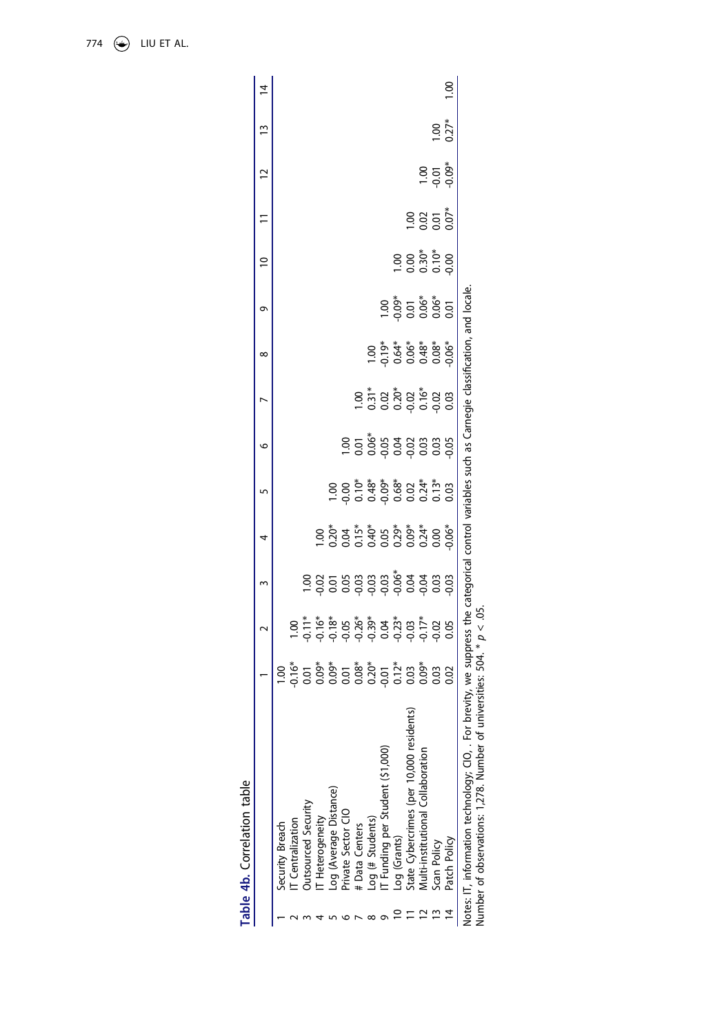<span id="page-16-0"></span>

|                                                                                                 | $\overline{a}$   | $\tilde{5}$ | $\overline{a}$ | m | $\circ$                                                   |                                                  | ∞                                                       | o                                         | $\approx$                           | $\frac{1}{1}$      | $\tilde{z}$             | $\tilde{c}$     | $\overline{4}$ |
|-------------------------------------------------------------------------------------------------|------------------|-------------|----------------|---|-----------------------------------------------------------|--------------------------------------------------|---------------------------------------------------------|-------------------------------------------|-------------------------------------|--------------------|-------------------------|-----------------|----------------|
| Security Breach                                                                                 |                  |             |                |   |                                                           |                                                  |                                                         |                                           |                                     |                    |                         |                 |                |
| <b>[</b> Centralization                                                                         |                  |             |                |   |                                                           |                                                  |                                                         |                                           |                                     |                    |                         |                 |                |
| Jutsourced Security                                                                             |                  |             |                |   |                                                           |                                                  |                                                         |                                           |                                     |                    |                         |                 |                |
| T Heterogeneity                                                                                 |                  |             |                |   |                                                           |                                                  |                                                         |                                           |                                     |                    |                         |                 |                |
| .og (Average Distance)                                                                          |                  |             |                |   |                                                           |                                                  |                                                         |                                           |                                     |                    |                         |                 |                |
| Private Sector CIO                                                                              |                  |             |                |   |                                                           |                                                  |                                                         |                                           |                                     |                    |                         |                 |                |
| <b>Data Centers</b>                                                                             |                  |             |                |   | 8 5 6 8 8 8 8 8 8<br>6 5 8 8 8 8 8 8 9<br>6 9 9 9 9 9 9 9 |                                                  |                                                         |                                           |                                     |                    |                         |                 |                |
| Log (# Students)                                                                                |                  |             |                |   |                                                           |                                                  |                                                         |                                           |                                     |                    |                         |                 |                |
| [Funding per Student (\$1,000)                                                                  |                  |             |                |   |                                                           | <u>ទ.  នៃ នូវ និង</u><br>ខេត្ត ខេត្ត និង និង និង |                                                         |                                           |                                     |                    |                         |                 |                |
| .og (Grants)                                                                                    |                  |             |                |   |                                                           |                                                  |                                                         |                                           |                                     |                    |                         |                 |                |
| State Cybercrimes (per 10,000 residents)                                                        |                  |             |                |   |                                                           |                                                  |                                                         |                                           |                                     |                    |                         |                 |                |
| Aulti-institutional Collaboration                                                               |                  |             |                |   |                                                           |                                                  |                                                         |                                           |                                     |                    |                         |                 |                |
| Scan Policy                                                                                     |                  |             |                |   |                                                           |                                                  |                                                         | 8 % 5 % % 5<br>0 % 5 % % 5<br>0 % 6 % 6 % | 8 8 % & 8<br>1 0 0 0 0<br>1 0 0 0 0 | <u>ទី ទី ទី ទី</u> | 8 5 8<br>1 5 8<br>1 9 9 | $1.00$<br>0.27* |                |
| Patch Policy                                                                                    |                  |             |                |   |                                                           |                                                  |                                                         |                                           |                                     |                    |                         |                 | 8<br>S         |
| Notes: IT, information technology; CIO, . For br<br>Number of observations: 1,278. Number of un | $504. * p < .05$ | categorical | control        |   |                                                           |                                                  | I variables such as Carnegie classification, and locale |                                           |                                     |                    |                         |                 |                |
|                                                                                                 |                  |             |                |   |                                                           |                                                  |                                                         |                                           |                                     |                    |                         |                 |                |

774  $\bigodot$  LIU ET AL.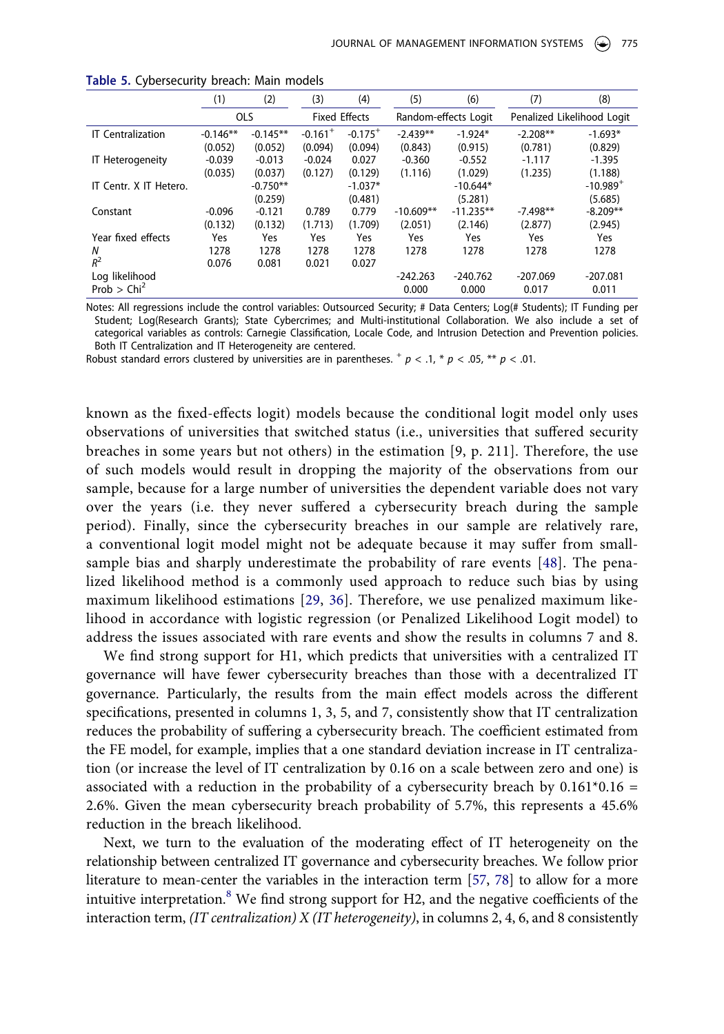|                           | (1)        | (2)        | (3)                   | (4)                  | (5)         | (6)                  | (7)        | (8)                        |
|---------------------------|------------|------------|-----------------------|----------------------|-------------|----------------------|------------|----------------------------|
|                           | <b>OLS</b> |            |                       | <b>Fixed Effects</b> |             | Random-effects Logit |            | Penalized Likelihood Logit |
| <b>IT Centralization</b>  | $-0.146**$ | $-0.145**$ | $-0.161$ <sup>+</sup> | $-0.175^{+}$         | $-2.439**$  | $-1.924*$            | $-2.208**$ | $-1.693*$                  |
|                           | (0.052)    | (0.052)    | (0.094)               | (0.094)              | (0.843)     | (0.915)              | (0.781)    | (0.829)                    |
| <b>IT Heterogeneity</b>   | $-0.039$   | $-0.013$   | $-0.024$              | 0.027                | $-0.360$    | $-0.552$             | $-1.117$   | $-1.395$                   |
|                           | (0.035)    | (0.037)    | (0.127)               | (0.129)              | (1.116)     | (1.029)              | (1.235)    | (1.188)                    |
| IT Centr. X IT Hetero.    |            | $-0.750**$ |                       | $-1.037*$            |             | $-10.644*$           |            | $-10.989^{+}$              |
|                           |            | (0.259)    |                       | (0.481)              |             | (5.281)              |            | (5.685)                    |
| Constant                  | $-0.096$   | $-0.121$   | 0.789                 | 0.779                | $-10.609**$ | $-11.235**$          | $-7.498**$ | $-8.209**$                 |
|                           | (0.132)    | (0.132)    | (1.713)               | (1.709)              | (2.051)     | (2.146)              | (2.877)    | (2.945)                    |
| Year fixed effects        | Yes        | Yes        | Yes                   | Yes                  | Yes         | Yes                  | Yes        | Yes                        |
| N                         | 1278       | 1278       | 1278                  | 1278                 | 1278        | 1278                 | 1278       | 1278                       |
| $R^2$                     | 0.076      | 0.081      | 0.021                 | 0.027                |             |                      |            |                            |
| Log likelihood            |            |            |                       |                      | $-242.263$  | $-240.762$           | $-207.069$ | $-207.081$                 |
| Prob $>$ Chi <sup>2</sup> |            |            |                       |                      | 0.000       | 0.000                | 0.017      | 0.011                      |

#### <span id="page-17-0"></span>**Table 5.** Cybersecurity breach: Main models

Notes: All regressions include the control variables: Outsourced Security; # Data Centers; Log(# Students); IT Funding per Student; Log(Research Grants); State Cybercrimes; and Multi-institutional Collaboration. We also include a set of categorical variables as controls: Carnegie Classification, Locale Code, and Intrusion Detection and Prevention policies. Both IT Centralization and IT Heterogeneity are centered.

Robust standard errors clustered by universities are in parentheses.  $+p < 0.1$ ,  $p < 0.05$ ,  $p \neq 0.01$ .

known as the fixed-effects logit) models because the conditional logit model only uses observations of universities that switched status (i.e., universities that suffered security breaches in some years but not others) in the estimation [9, p. 211]. Therefore, the use of such models would result in dropping the majority of the observations from our sample, because for a large number of universities the dependent variable does not vary over the years (i.e. they never suffered a cybersecurity breach during the sample period). Finally, since the cybersecurity breaches in our sample are relatively rare, a conventional logit model might not be adequate because it may suffer from smallsample bias and sharply underestimate the probability of rare events [[48](#page-26-17)]. The penalized likelihood method is a commonly used approach to reduce such bias by using maximum likelihood estimations [[29,](#page-25-18) [36](#page-26-18)]. Therefore, we use penalized maximum likelihood in accordance with logistic regression (or Penalized Likelihood Logit model) to address the issues associated with rare events and show the results in columns 7 and 8.

We find strong support for H1, which predicts that universities with a centralized IT governance will have fewer cybersecurity breaches than those with a decentralized IT governance. Particularly, the results from the main effect models across the different specifications, presented in columns 1, 3, 5, and 7, consistently show that IT centralization reduces the probability of suffering a cybersecurity breach. The coefficient estimated from the FE model, for example, implies that a one standard deviation increase in IT centralization (or increase the level of IT centralization by 0.16 on a scale between zero and one) is associated with a reduction in the probability of a cybersecurity breach by  $0.161*0.16 =$ 2.6%. Given the mean cybersecurity breach probability of 5.7%, this represents a 45.6% reduction in the breach likelihood.

Next, we turn to the evaluation of the moderating effect of IT heterogeneity on the relationship between centralized IT governance and cybersecurity breaches. We follow prior literature to mean-center the variables in the interaction term [[57,](#page-26-19) [78](#page-27-17)] to allow for a more intuitive interpretation.<sup>8</sup> We find strong support for H2, and the negative coefficients of the interaction term, *(IT centralization) X (IT heterogeneity)*, in columns 2, 4, 6, and 8 consistently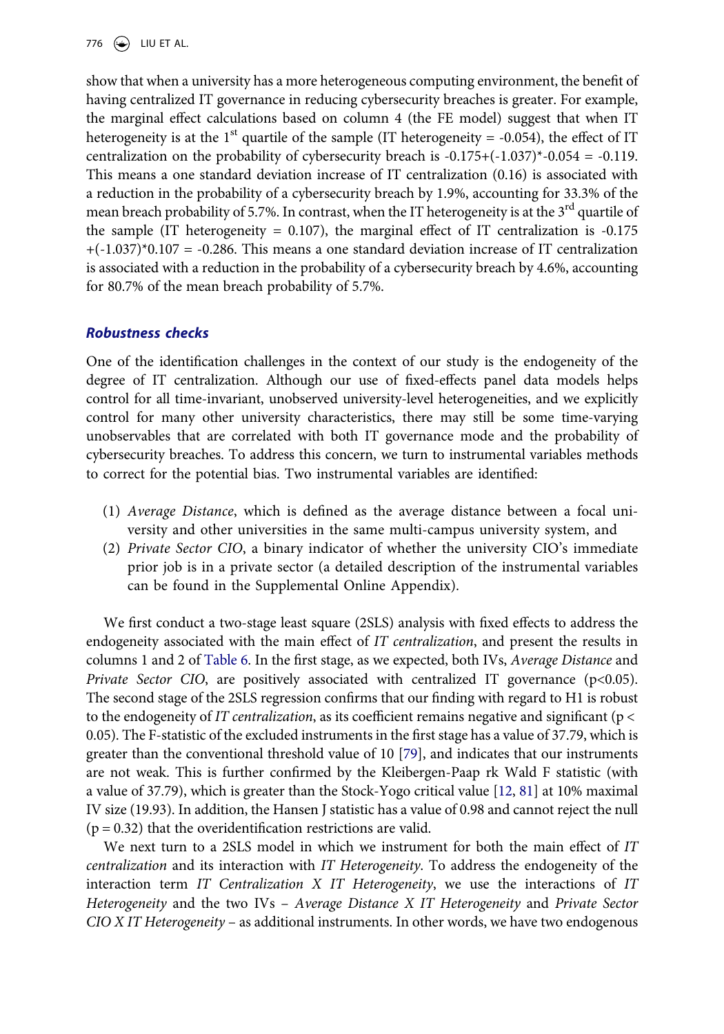show that when a university has a more heterogeneous computing environment, the benefit of having centralized IT governance in reducing cybersecurity breaches is greater. For example, the marginal effect calculations based on column 4 (the FE model) suggest that when IT heterogeneity is at the 1<sup>st</sup> quartile of the sample (IT heterogeneity = -0.054), the effect of IT centralization on the probability of cybersecurity breach is  $-0.175+(-1.037)^{*}-0.054 = -0.119$ . This means a one standard deviation increase of IT centralization (0.16) is associated with a reduction in the probability of a cybersecurity breach by 1.9%, accounting for 33.3% of the mean breach probability of 5.7%. In contrast, when the IT heterogeneity is at the  $3<sup>rd</sup>$  quartile of the sample (IT heterogeneity =  $0.107$ ), the marginal effect of IT centralization is  $-0.175$  $+(-1.037)^*0.107 = -0.286$ . This means a one standard deviation increase of IT centralization is associated with a reduction in the probability of a cybersecurity breach by 4.6%, accounting for 80.7% of the mean breach probability of 5.7%.

## *Robustness checks*

One of the identification challenges in the context of our study is the endogeneity of the degree of IT centralization. Although our use of fixed-effects panel data models helps control for all time-invariant, unobserved university-level heterogeneities, and we explicitly control for many other university characteristics, there may still be some time-varying unobservables that are correlated with both IT governance mode and the probability of cybersecurity breaches. To address this concern, we turn to instrumental variables methods to correct for the potential bias. Two instrumental variables are identified:

- (1) *Average Distance*, which is defined as the average distance between a focal university and other universities in the same multi-campus university system, and
- (2) *Private Sector CIO*, a binary indicator of whether the university CIO's immediate prior job is in a private sector (a detailed description of the instrumental variables can be found in the Supplemental Online Appendix).

We first conduct a two-stage least square (2SLS) analysis with fixed effects to address the endogeneity associated with the main effect of *IT centralization*, and present the results in columns 1 and 2 of [Table 6.](#page-19-0) In the first stage, as we expected, both IVs, *Average Distance* and *Private Sector CIO*, are positively associated with centralized IT governance (p<0.05). The second stage of the 2SLS regression confirms that our finding with regard to H1 is robust to the endogeneity of *IT centralization*, as its coefficient remains negative and significant (p < 0.05). The F-statistic of the excluded instruments in the first stage has a value of 37.79, which is greater than the conventional threshold value of 10 [[79\]](#page-27-18), and indicates that our instruments are not weak. This is further confirmed by the Kleibergen-Paap rk Wald F statistic (with a value of 37.79), which is greater than the Stock-Yogo critical value [[12,](#page-24-15) [81](#page-27-19)] at 10% maximal IV size (19.93). In addition, the Hansen J statistic has a value of 0.98 and cannot reject the null  $(p = 0.32)$  that the overidentification restrictions are valid.

We next turn to a 2SLS model in which we instrument for both the main effect of *IT centralization* and its interaction with *IT Heterogeneity*. To address the endogeneity of the interaction term *IT Centralization X IT Heterogeneity*, we use the interactions of *IT Heterogeneity* and the two IVs – *Average Distance X IT Heterogeneity* and *Private Sector CIO X IT Heterogeneity* – as additional instruments. In other words, we have two endogenous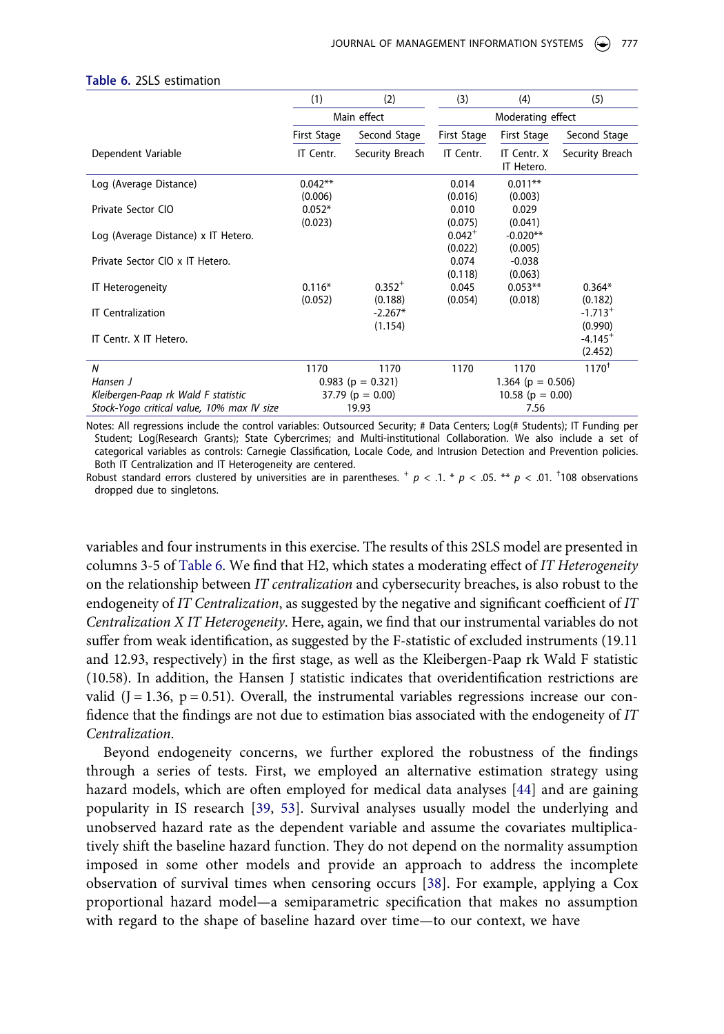|                                                                                   | (1)                  | (2)                         | (3)                    | (4)                          | (5)                              |
|-----------------------------------------------------------------------------------|----------------------|-----------------------------|------------------------|------------------------------|----------------------------------|
|                                                                                   |                      | Main effect                 |                        | Moderating effect            |                                  |
|                                                                                   | First Stage          | Second Stage                | First Stage            | First Stage                  | Second Stage                     |
| Dependent Variable                                                                | IT Centr.            | Security Breach             | IT Centr.              | IT Centr. X<br>IT Hetero.    | Security Breach                  |
| Log (Average Distance)                                                            | $0.042**$<br>(0.006) |                             | 0.014<br>(0.016)       | $0.011**$<br>(0.003)         |                                  |
| Private Sector CIO                                                                | $0.052*$<br>(0.023)  |                             | 0.010<br>(0.075)       | 0.029<br>(0.041)             |                                  |
| Log (Average Distance) x IT Hetero.                                               |                      |                             | $0.042^{+}$<br>(0.022) | $-0.020**$<br>(0.005)        |                                  |
| Private Sector CIO x IT Hetero.                                                   |                      |                             | 0.074<br>(0.118)       | $-0.038$<br>(0.063)          |                                  |
| <b>IT Heterogeneity</b>                                                           | $0.116*$<br>(0.052)  | $0.352^{+}$<br>(0.188)      | 0.045<br>(0.054)       | $0.053**$<br>(0.018)         | $0.364*$<br>(0.182)              |
| <b>IT Centralization</b>                                                          |                      | $-2.267*$<br>(1.154)        |                        |                              | $-1.713$ <sup>+</sup><br>(0.990) |
| IT Centr. X IT Hetero.                                                            |                      |                             |                        |                              | $-4.145+$<br>(2.452)             |
| $\boldsymbol{N}$                                                                  | 1170                 | 1170                        | 1170                   | 1170                         | $1170^{+}$                       |
| Hansen J                                                                          |                      | $0.983$ (p = 0.321)         |                        | 1.364 ( $p = 0.506$ )        |                                  |
| Kleibergen-Paap rk Wald F statistic<br>Stock-Yogo critical value, 10% max IV size |                      | $37.79$ (p = 0.00)<br>19.93 |                        | 10.58 ( $p = 0.00$ )<br>7.56 |                                  |

#### <span id="page-19-0"></span>**Table 6.** 2SLS estimation

Notes: All regressions include the control variables: Outsourced Security; # Data Centers; Log(# Students); IT Funding per Student; Log(Research Grants); State Cybercrimes; and Multi-institutional Collaboration. We also include a set of categorical variables as controls: Carnegie Classification, Locale Code, and Intrusion Detection and Prevention policies. Both IT Centralization and IT Heterogeneity are centered.

Robust standard errors clustered by universities are in parentheses.  $+p < .1.$  \*  $p < .05.$  \*\*  $p < .01.$   $\hbar$ 108 observations dropped due to singletons.

variables and four instruments in this exercise. The results of this 2SLS model are presented in columns 3-5 of [Table 6.](#page-19-0) We find that H2, which states a moderating effect of *IT Heterogeneity*  on the relationship between *IT centralization* and cybersecurity breaches, is also robust to the endogeneity of *IT Centralization*, as suggested by the negative and significant coefficient of *IT Centralization X IT Heterogeneity*. Here, again, we find that our instrumental variables do not suffer from weak identification, as suggested by the F-statistic of excluded instruments (19.11 and 12.93, respectively) in the first stage, as well as the Kleibergen-Paap rk Wald F statistic (10.58). In addition, the Hansen J statistic indicates that overidentification restrictions are valid  $(J = 1.36, p = 0.51)$ . Overall, the instrumental variables regressions increase our confidence that the findings are not due to estimation bias associated with the endogeneity of *IT Centralization*.

Beyond endogeneity concerns, we further explored the robustness of the findings through a series of tests. First, we employed an alternative estimation strategy using hazard models, which are often employed for medical data analyses [[44\]](#page-26-20) and are gaining popularity in IS research [\[39](#page-26-21), [53](#page-26-2)]. Survival analyses usually model the underlying and unobserved hazard rate as the dependent variable and assume the covariates multiplicatively shift the baseline hazard function. They do not depend on the normality assumption imposed in some other models and provide an approach to address the incomplete observation of survival times when censoring occurs [\[38](#page-26-22)]. For example, applying a Cox proportional hazard model—a semiparametric specification that makes no assumption with regard to the shape of baseline hazard over time—to our context, we have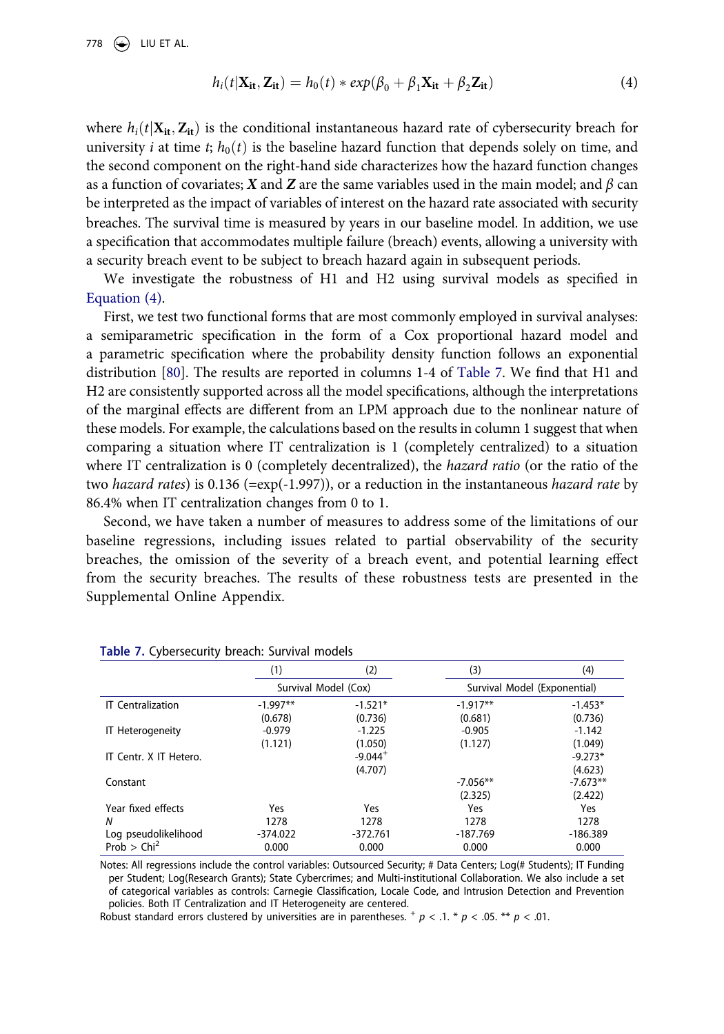$$
h_i(t|\mathbf{X_{it}}, \mathbf{Z_{it}}) = h_0(t) * exp(\beta_0 + \beta_1 \mathbf{X_{it}} + \beta_2 \mathbf{Z_{it}})
$$
(4)

where  $h_i(t|\mathbf{X}_{it}, \mathbf{Z}_{it})$  is the conditional instantaneous hazard rate of cybersecurity breach for university *i* at time *t*;  $h_0(t)$  is the baseline hazard function that depends solely on time, and the second component on the right-hand side characterizes how the hazard function changes as a function of covariates; *X* and *Z* are the same variables used in the main model; and  $\beta$  can be interpreted as the impact of variables of interest on the hazard rate associated with security breaches. The survival time is measured by years in our baseline model. In addition, we use a specification that accommodates multiple failure (breach) events, allowing a university with a security breach event to be subject to breach hazard again in subsequent periods.

We investigate the robustness of H1 and H2 using survival models as specified in Equation (4).

First, we test two functional forms that are most commonly employed in survival analyses: a semiparametric specification in the form of a Cox proportional hazard model and a parametric specification where the probability density function follows an exponential distribution [[80\]](#page-27-20). The results are reported in columns 1-4 of [Table 7](#page-20-0). We find that H1 and H2 are consistently supported across all the model specifications, although the interpretations of the marginal effects are different from an LPM approach due to the nonlinear nature of these models. For example, the calculations based on the results in column 1 suggest that when comparing a situation where IT centralization is 1 (completely centralized) to a situation where IT centralization is 0 (completely decentralized), the *hazard ratio* (or the ratio of the two *hazard rates*) is 0.136 (=exp(-1.997)), or a reduction in the instantaneous *hazard rate* by 86.4% when IT centralization changes from 0 to 1.

Second, we have taken a number of measures to address some of the limitations of our baseline regressions, including issues related to partial observability of the security breaches, the omission of the severity of a breach event, and potential learning effect from the security breaches. The results of these robustness tests are presented in the Supplemental Online Appendix.

|                           | (1)        | (2)                   | (3)        | (4)                          |
|---------------------------|------------|-----------------------|------------|------------------------------|
|                           |            | Survival Model (Cox)  |            | Survival Model (Exponential) |
| <b>IT Centralization</b>  | $-1.997**$ | $-1.521*$             | $-1.917**$ | $-1.453*$                    |
|                           | (0.678)    | (0.736)               | (0.681)    | (0.736)                      |
| <b>IT Heterogeneity</b>   | $-0.979$   | $-1.225$              | $-0.905$   | $-1.142$                     |
|                           | (1.121)    | (1.050)               | (1.127)    | (1.049)                      |
| IT Centr. X IT Hetero.    |            | $-9.044$ <sup>+</sup> |            | $-9.273*$                    |
|                           |            | (4.707)               |            | (4.623)                      |
| Constant                  |            |                       | $-7.056**$ | $-7.673**$                   |
|                           |            |                       | (2.325)    | (2.422)                      |
| Year fixed effects        | Yes        | Yes                   | Yes        | Yes                          |
| N                         | 1278       | 1278                  | 1278       | 1278                         |
| Log pseudolikelihood      | $-374.022$ | $-372.761$            | $-187.769$ | $-186.389$                   |
| Prob $>$ Chi <sup>2</sup> | 0.000      | 0.000                 | 0.000      | 0.000                        |

<span id="page-20-0"></span>

|  |  | Table 7. Cybersecurity breach: Survival models |  |  |  |
|--|--|------------------------------------------------|--|--|--|
|--|--|------------------------------------------------|--|--|--|

Notes: All regressions include the control variables: Outsourced Security; # Data Centers; Log(# Students); IT Funding per Student; Log(Research Grants); State Cybercrimes; and Multi-institutional Collaboration. We also include a set of categorical variables as controls: Carnegie Classification, Locale Code, and Intrusion Detection and Prevention policies. Both IT Centralization and IT Heterogeneity are centered.

Robust standard errors clustered by universities are in parentheses.  $+p < 0.1$ . \*  $p < 0.05$ . \*\*  $p < 0.01$ .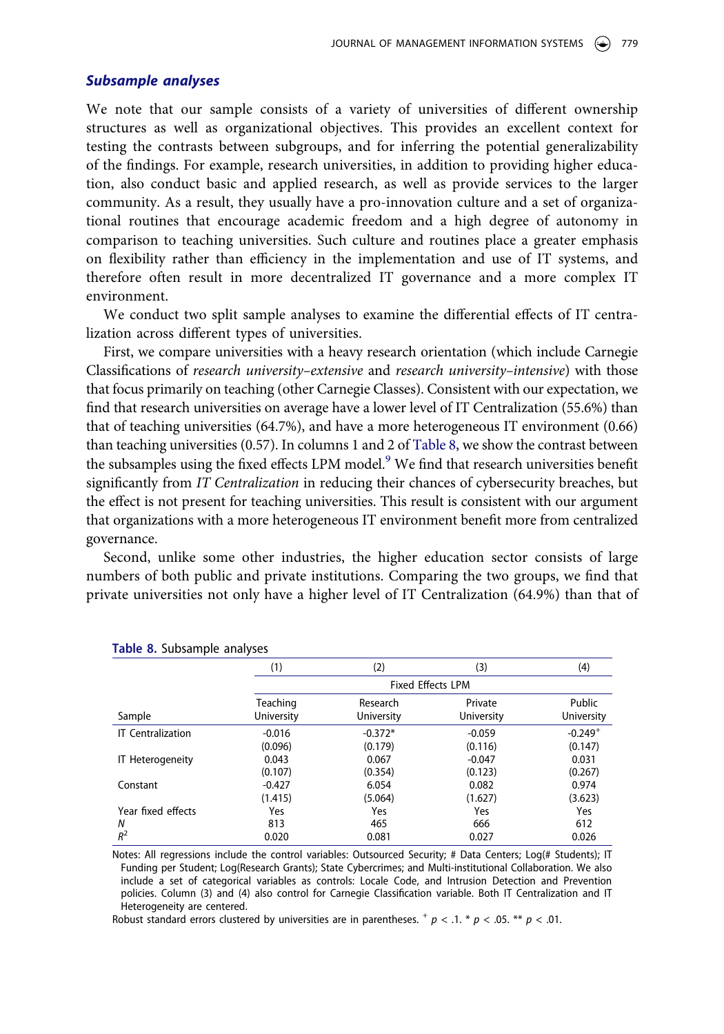#### *Subsample analyses*

We note that our sample consists of a variety of universities of different ownership structures as well as organizational objectives. This provides an excellent context for testing the contrasts between subgroups, and for inferring the potential generalizability of the findings. For example, research universities, in addition to providing higher education, also conduct basic and applied research, as well as provide services to the larger community. As a result, they usually have a pro-innovation culture and a set of organizational routines that encourage academic freedom and a high degree of autonomy in comparison to teaching universities. Such culture and routines place a greater emphasis on flexibility rather than efficiency in the implementation and use of IT systems, and therefore often result in more decentralized IT governance and a more complex IT environment.

We conduct two split sample analyses to examine the differential effects of IT centralization across different types of universities.

First, we compare universities with a heavy research orientation (which include Carnegie Classifications of *research university–extensive* and *research university–intensive*) with those that focus primarily on teaching (other Carnegie Classes). Consistent with our expectation, we find that research universities on average have a lower level of IT Centralization (55.6%) than that of teaching universities (64.7%), and have a more heterogeneous IT environment (0.66) than teaching universities (0.57). In columns 1 and 2 of [Table 8](#page-21-0), we show the contrast between the subsamples using the fixed effects LPM model.<sup>9</sup> We find that research universities benefit significantly from *IT Centralization* in reducing their chances of cybersecurity breaches, but the effect is not present for teaching universities. This result is consistent with our argument that organizations with a more heterogeneous IT environment benefit more from centralized governance.

Second, unlike some other industries, the higher education sector consists of large numbers of both public and private institutions. Comparing the two groups, we find that private universities not only have a higher level of IT Centralization (64.9%) than that of

|                          | (1)                    | (2)                    | (3)                      | (4)                     |
|--------------------------|------------------------|------------------------|--------------------------|-------------------------|
|                          |                        |                        | <b>Fixed Effects LPM</b> |                         |
| Sample                   | Teaching<br>University | Research<br>University | Private<br>University    | Public<br>University    |
| <b>IT Centralization</b> | $-0.016$<br>(0.096)    | $-0.372*$<br>(0.179)   | $-0.059$<br>(0.116)      | $-0.249^{+}$<br>(0.147) |
| <b>IT Heterogeneity</b>  | 0.043<br>(0.107)       | 0.067<br>(0.354)       | $-0.047$<br>(0.123)      | 0.031<br>(0.267)        |
| Constant                 | $-0.427$<br>(1.415)    | 6.054<br>(5.064)       | 0.082<br>(1.627)         | 0.974<br>(3.623)        |
| Year fixed effects       | Yes                    | Yes                    | Yes                      | Yes                     |
| Ν                        | 813                    | 465                    | 666                      | 612                     |
| $R^2$                    | 0.020                  | 0.081                  | 0.027                    | 0.026                   |

#### <span id="page-21-0"></span>**Table 8.** Subsample analyses

Notes: All regressions include the control variables: Outsourced Security; # Data Centers; Log(# Students); IT Funding per Student; Log(Research Grants); State Cybercrimes; and Multi-institutional Collaboration. We also include a set of categorical variables as controls: Locale Code, and Intrusion Detection and Prevention policies. Column (3) and (4) also control for Carnegie Classification variable. Both IT Centralization and IT Heterogeneity are centered.

Robust standard errors clustered by universities are in parentheses.  $+p < 0.1$ .  $p < 0.05$ . \*\*  $p < 0.01$ .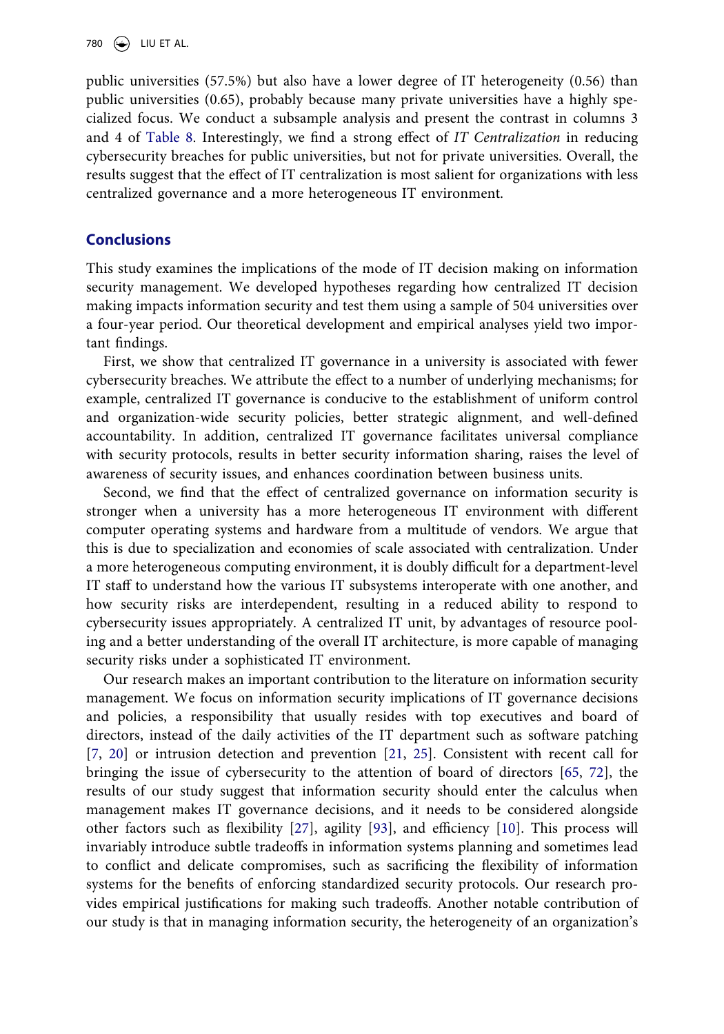public universities (57.5%) but also have a lower degree of IT heterogeneity (0.56) than public universities (0.65), probably because many private universities have a highly specialized focus. We conduct a subsample analysis and present the contrast in columns 3 and 4 of [Table 8](#page-21-0). Interestingly, we find a strong effect of *IT Centralization* in reducing cybersecurity breaches for public universities, but not for private universities. Overall, the results suggest that the effect of IT centralization is most salient for organizations with less centralized governance and a more heterogeneous IT environment.

## **Conclusions**

This study examines the implications of the mode of IT decision making on information security management. We developed hypotheses regarding how centralized IT decision making impacts information security and test them using a sample of 504 universities over a four-year period. Our theoretical development and empirical analyses yield two important findings.

First, we show that centralized IT governance in a university is associated with fewer cybersecurity breaches. We attribute the effect to a number of underlying mechanisms; for example, centralized IT governance is conducive to the establishment of uniform control and organization-wide security policies, better strategic alignment, and well-defined accountability. In addition, centralized IT governance facilitates universal compliance with security protocols, results in better security information sharing, raises the level of awareness of security issues, and enhances coordination between business units.

Second, we find that the effect of centralized governance on information security is stronger when a university has a more heterogeneous IT environment with different computer operating systems and hardware from a multitude of vendors. We argue that this is due to specialization and economies of scale associated with centralization. Under a more heterogeneous computing environment, it is doubly difficult for a department-level IT staff to understand how the various IT subsystems interoperate with one another, and how security risks are interdependent, resulting in a reduced ability to respond to cybersecurity issues appropriately. A centralized IT unit, by advantages of resource pooling and a better understanding of the overall IT architecture, is more capable of managing security risks under a sophisticated IT environment.

Our research makes an important contribution to the literature on information security management. We focus on information security implications of IT governance decisions and policies, a responsibility that usually resides with top executives and board of directors, instead of the daily activities of the IT department such as software patching [[7,](#page-24-3) [20\]](#page-25-3) or intrusion detection and prevention [[21,](#page-25-2) [25\]](#page-25-5). Consistent with recent call for bringing the issue of cybersecurity to the attention of board of directors [\[65](#page-27-3), [72](#page-27-4)], the results of our study suggest that information security should enter the calculus when management makes IT governance decisions, and it needs to be considered alongside other factors such as flexibility [\[27](#page-25-19)], agility [[93\]](#page-28-13), and efficiency [[10\]](#page-24-17). This process will invariably introduce subtle tradeoffs in information systems planning and sometimes lead to conflict and delicate compromises, such as sacrificing the flexibility of information systems for the benefits of enforcing standardized security protocols. Our research provides empirical justifications for making such tradeoffs. Another notable contribution of our study is that in managing information security, the heterogeneity of an organization's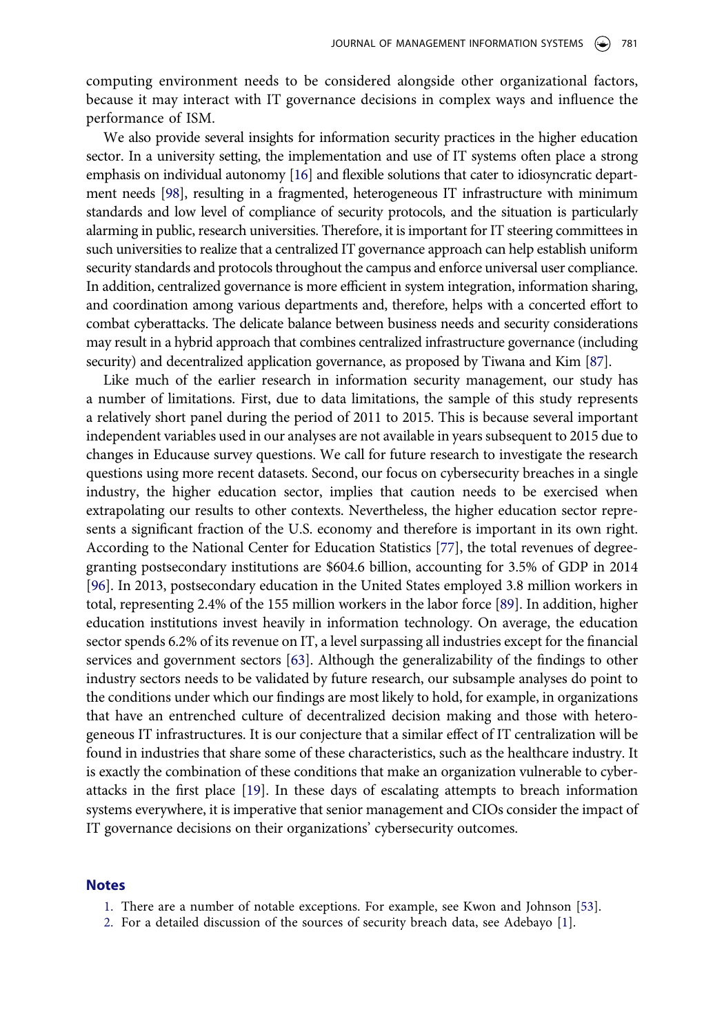computing environment needs to be considered alongside other organizational factors, because it may interact with IT governance decisions in complex ways and influence the performance of ISM.

We also provide several insights for information security practices in the higher education sector. In a university setting, the implementation and use of IT systems often place a strong emphasis on individual autonomy [[16](#page-25-11)] and flexible solutions that cater to idiosyncratic department needs [\[98\]](#page-28-0), resulting in a fragmented, heterogeneous IT infrastructure with minimum standards and low level of compliance of security protocols, and the situation is particularly alarming in public, research universities. Therefore, it is important for IT steering committees in such universities to realize that a centralized IT governance approach can help establish uniform security standards and protocols throughout the campus and enforce universal user compliance. In addition, centralized governance is more efficient in system integration, information sharing, and coordination among various departments and, therefore, helps with a concerted effort to combat cyberattacks. The delicate balance between business needs and security considerations may result in a hybrid approach that combines centralized infrastructure governance (including security) and decentralized application governance, as proposed by Tiwana and Kim [[87](#page-28-6)].

Like much of the earlier research in information security management, our study has a number of limitations. First, due to data limitations, the sample of this study represents a relatively short panel during the period of 2011 to 2015. This is because several important independent variables used in our analyses are not available in years subsequent to 2015 due to changes in Educause survey questions. We call for future research to investigate the research questions using more recent datasets. Second, our focus on cybersecurity breaches in a single industry, the higher education sector, implies that caution needs to be exercised when extrapolating our results to other contexts. Nevertheless, the higher education sector represents a significant fraction of the U.S. economy and therefore is important in its own right. According to the National Center for Education Statistics [[77](#page-27-21)], the total revenues of degreegranting postsecondary institutions are \$604.6 billion, accounting for 3.5% of GDP in 2014 [\[96](#page-28-14)]. In 2013, postsecondary education in the United States employed 3.8 million workers in total, representing 2.4% of the 155 million workers in the labor force [\[89\]](#page-28-15). In addition, higher education institutions invest heavily in information technology. On average, the education sector spends 6.2% of its revenue on IT, a level surpassing all industries except for the financial services and government sectors [\[63](#page-27-22)]. Although the generalizability of the findings to other industry sectors needs to be validated by future research, our subsample analyses do point to the conditions under which our findings are most likely to hold, for example, in organizations that have an entrenched culture of decentralized decision making and those with heterogeneous IT infrastructures. It is our conjecture that a similar effect of IT centralization will be found in industries that share some of these characteristics, such as the healthcare industry. It is exactly the combination of these conditions that make an organization vulnerable to cyberattacks in the first place [[19](#page-25-0)]. In these days of escalating attempts to breach information systems everywhere, it is imperative that senior management and CIOs consider the impact of IT governance decisions on their organizations' cybersecurity outcomes.

#### <span id="page-23-0"></span>**Notes**

- 1. There are a number of notable exceptions. For example, see Kwon and Johnson [\[53](#page-26-2)].
- <span id="page-23-1"></span>2. For a detailed discussion of the sources of security breach data, see Adebayo [[1\]](#page-24-5).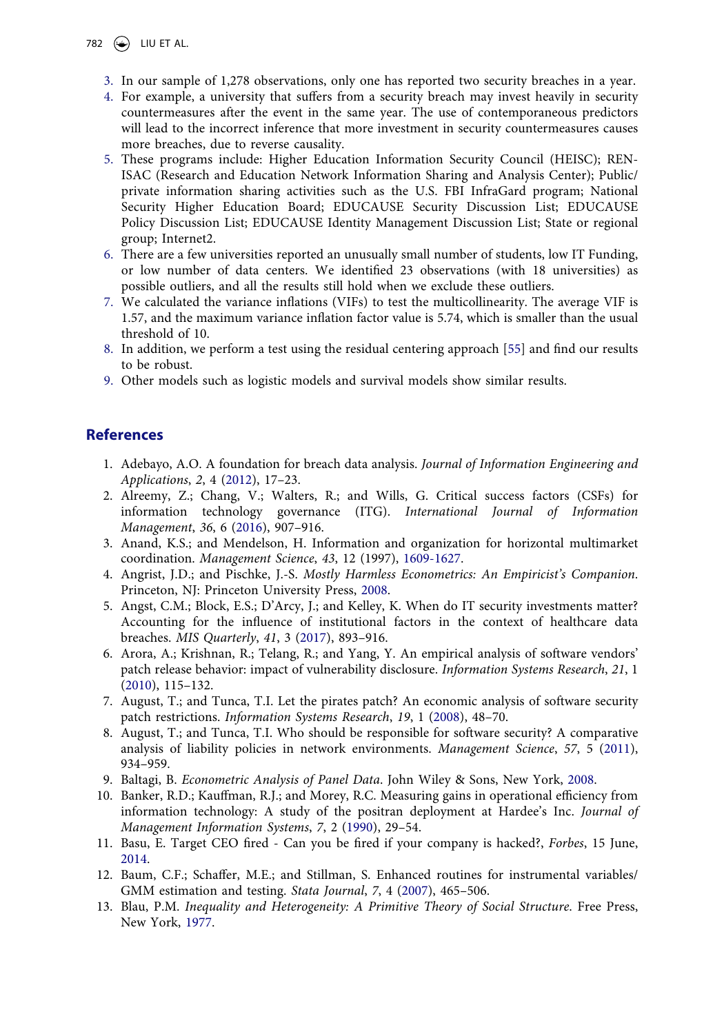- <span id="page-24-7"></span>3. In our sample of 1,278 observations, only one has reported two security breaches in a year.
- <span id="page-24-8"></span>4. For example, a university that suffers from a security breach may invest heavily in security countermeasures after the event in the same year. The use of contemporaneous predictors will lead to the incorrect inference that more investment in security countermeasures causes more breaches, due to reverse causality.
- <span id="page-24-11"></span>5. These programs include: Higher Education Information Security Council (HEISC); REN-ISAC (Research and Education Network Information Sharing and Analysis Center); Public/ private information sharing activities such as the U.S. FBI InfraGard program; National Security Higher Education Board; EDUCAUSE Security Discussion List; EDUCAUSE Policy Discussion List; EDUCAUSE Identity Management Discussion List; State or regional group; Internet2.
- <span id="page-24-12"></span>6. There are a few universities reported an unusually small number of students, low IT Funding, or low number of data centers. We identified 23 observations (with 18 universities) as possible outliers, and all the results still hold when we exclude these outliers.
- <span id="page-24-13"></span>7. We calculated the variance inflations (VIFs) to test the multicollinearity. The average VIF is 1.57, and the maximum variance inflation factor value is 5.74, which is smaller than the usual threshold of 10.
- <span id="page-24-14"></span>8. In addition, we perform a test using the residual centering approach [\[55\]](#page-26-23) and find our results to be robust.
- <span id="page-24-16"></span>9. Other models such as logistic models and survival models show similar results.

## **References**

- <span id="page-24-5"></span>1. Adebayo, A.O. A foundation for breach data analysis. *Journal of Information Engineering and Applications*, *2*, 4 (2012), 17–23.
- <span id="page-24-4"></span>2. Alreemy, Z.; Chang, V.; Walters, R.; and Wills, G. Critical success factors (CSFs) for information technology governance (ITG). *International Journal of Information Management*, *36*, 6 (2016), 907–916.
- <span id="page-24-6"></span>3. Anand, K.S.; and Mendelson, H. Information and organization for horizontal multimarket coordination. *Management Science*, *43*, 12 (1997), 1609-1627.
- <span id="page-24-0"></span>4. Angrist, J.D.; and Pischke, J.-S. *Mostly Harmless Econometrics: An Empiricist's Companion*. Princeton, NJ: Princeton University Press, 2008.
- <span id="page-24-9"></span>5. Angst, C.M.; Block, E.S.; D'Arcy, J.; and Kelley, K. When do IT security investments matter? Accounting for the influence of institutional factors in the context of healthcare data breaches. *MIS Quarterly*, *41*, 3 (2017), 893–916.
- <span id="page-24-2"></span>6. Arora, A.; Krishnan, R.; Telang, R.; and Yang, Y. An empirical analysis of software vendors' patch release behavior: impact of vulnerability disclosure. *Information Systems Research*, *21*, 1 (2010), 115–132.
- <span id="page-24-3"></span>7. August, T.; and Tunca, T.I. Let the pirates patch? An economic analysis of software security patch restrictions. *Information Systems Research*, *19*, 1 (2008), 48–70.
- 8. August, T.; and Tunca, T.I. Who should be responsible for software security? A comparative analysis of liability policies in network environments. *Management Science*, *57*, 5 (2011), 934–959.
- 9. Baltagi, B. *Econometric Analysis of Panel Data*. John Wiley & Sons, New York, 2008.
- <span id="page-24-17"></span>10. Banker, R.D.; Kauffman, R.J.; and Morey, R.C. Measuring gains in operational efficiency from information technology: A study of the positran deployment at Hardee's Inc. *Journal of Management Information Systems*, *7*, 2 (1990), 29–54.
- <span id="page-24-1"></span>11. Basu, E. Target CEO fired - Can you be fired if your company is hacked?, *Forbes*, 15 June, 2014.
- <span id="page-24-15"></span>12. Baum, C.F.; Schaffer, M.E.; and Stillman, S. Enhanced routines for instrumental variables/ GMM estimation and testing. *Stata Journal*, *7*, 4 (2007), 465–506.
- <span id="page-24-10"></span>13. Blau, P.M. *Inequality and Heterogeneity: A Primitive Theory of Social Structure*. Free Press, New York, 1977.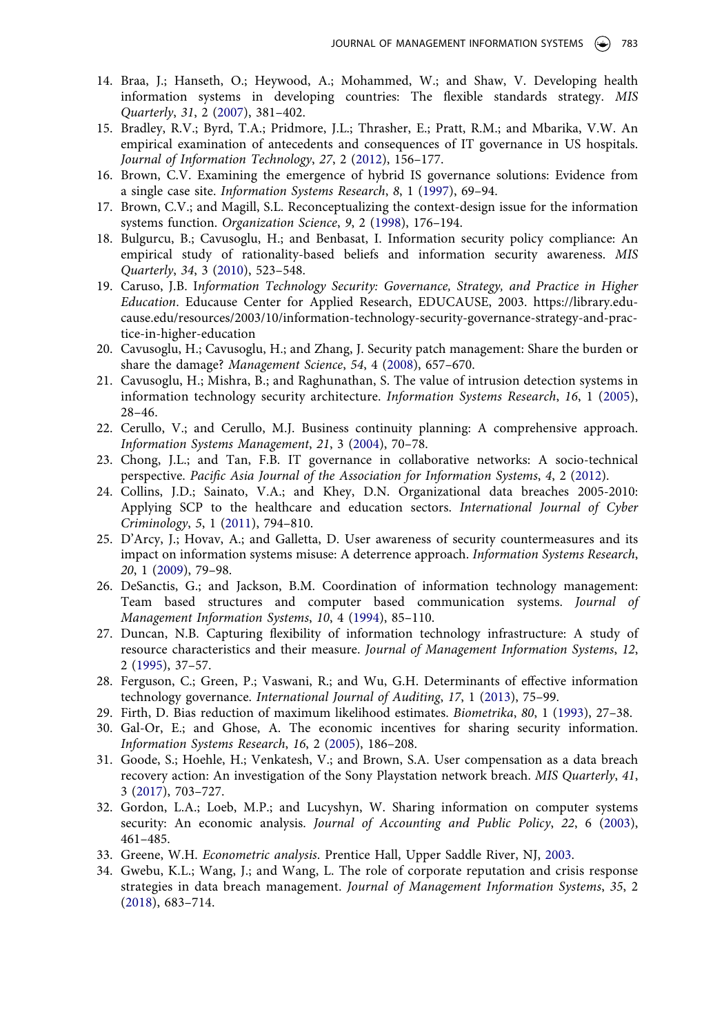- <span id="page-25-15"></span>14. Braa, J.; Hanseth, O.; Heywood, A.; Mohammed, W.; and Shaw, V. Developing health information systems in developing countries: The flexible standards strategy. *MIS Quarterly*, *31*, 2 (2007), 381–402.
- <span id="page-25-10"></span>15. Bradley, R.V.; Byrd, T.A.; Pridmore, J.L.; Thrasher, E.; Pratt, R.M.; and Mbarika, V.W. An empirical examination of antecedents and consequences of IT governance in US hospitals. *Journal of Information Technology*, *27*, 2 (2012), 156–177.
- <span id="page-25-11"></span>16. Brown, C.V. Examining the emergence of hybrid IS governance solutions: Evidence from a single case site. *Information Systems Research*, *8*, 1 (1997), 69–94.
- <span id="page-25-12"></span>17. Brown, C.V.; and Magill, S.L. Reconceptualizing the context-design issue for the information systems function. *Organization Science*, *9*, 2 (1998), 176–194.
- <span id="page-25-4"></span>18. Bulgurcu, B.; Cavusoglu, H.; and Benbasat, I. Information security policy compliance: An empirical study of rationality-based beliefs and information security awareness. *MIS Quarterly*, *34*, 3 (2010), 523–548.
- <span id="page-25-0"></span>19. Caruso, J.B. I*nformation Technology Security: Governance, Strategy, and Practice in Higher Education*. Educause Center for Applied Research, EDUCAUSE, 2003. https://library.educause.edu/resources/2003/10/information-technology-security-governance-strategy-and-practice-in-higher-education
- <span id="page-25-3"></span>20. Cavusoglu, H.; Cavusoglu, H.; and Zhang, J. Security patch management: Share the burden or share the damage? *Management Science*, *54*, 4 (2008), 657–670.
- <span id="page-25-2"></span>21. Cavusoglu, H.; Mishra, B.; and Raghunathan, S. The value of intrusion detection systems in information technology security architecture. *Information Systems Research*, *16*, 1 (2005), 28–46.
- <span id="page-25-1"></span>22. Cerullo, V.; and Cerullo, M.J. Business continuity planning: A comprehensive approach. *Information Systems Management*, *21*, 3 (2004), 70–78.
- <span id="page-25-9"></span>23. Chong, J.L.; and Tan, F.B. IT governance in collaborative networks: A socio-technical perspective. *Pacific Asia Journal of the Association for Information Systems*, *4*, 2 (2012).
- <span id="page-25-17"></span>24. Collins, J.D.; Sainato, V.A.; and Khey, D.N. Organizational data breaches 2005-2010: Applying SCP to the healthcare and education sectors. *International Journal of Cyber Criminology*, *5*, 1 (2011), 794–810.
- <span id="page-25-5"></span>25. D'Arcy, J.; Hovav, A.; and Galletta, D. User awareness of security countermeasures and its impact on information systems misuse: A deterrence approach. *Information Systems Research*, *20*, 1 (2009), 79–98.
- <span id="page-25-16"></span>26. DeSanctis, G.; and Jackson, B.M. Coordination of information technology management: Team based structures and computer based communication systems. *Journal of Management Information Systems*, *10*, 4 (1994), 85–110.
- <span id="page-25-19"></span>27. Duncan, N.B. Capturing flexibility of information technology infrastructure: A study of resource characteristics and their measure. *Journal of Management Information Systems*, *12*, 2 (1995), 37–57.
- <span id="page-25-8"></span>28. Ferguson, C.; Green, P.; Vaswani, R.; and Wu, G.H. Determinants of effective information technology governance. *International Journal of Auditing*, *17*, 1 (2013), 75–99.
- <span id="page-25-18"></span>29. Firth, D. Bias reduction of maximum likelihood estimates. *Biometrika*, *80*, 1 (1993), 27–38.
- <span id="page-25-13"></span>30. Gal-Or, E.; and Ghose, A. The economic incentives for sharing security information. *Information Systems Research*, *16*, 2 (2005), 186–208.
- <span id="page-25-6"></span>31. Goode, S.; Hoehle, H.; Venkatesh, V.; and Brown, S.A. User compensation as a data breach recovery action: An investigation of the Sony Playstation network breach. *MIS Quarterly*, *41*, 3 (2017), 703–727.
- <span id="page-25-14"></span>32. Gordon, L.A.; Loeb, M.P.; and Lucyshyn, W. Sharing information on computer systems security: An economic analysis. *Journal of Accounting and Public Policy*, *22*, 6 (2003), 461–485.
- 33. Greene, W.H. *Econometric analysis*. Prentice Hall, Upper Saddle River, NJ, 2003.
- <span id="page-25-7"></span>34. Gwebu, K.L.; Wang, J.; and Wang, L. The role of corporate reputation and crisis response strategies in data breach management. *Journal of Management Information Systems*, *35*, 2 (2018), 683–714.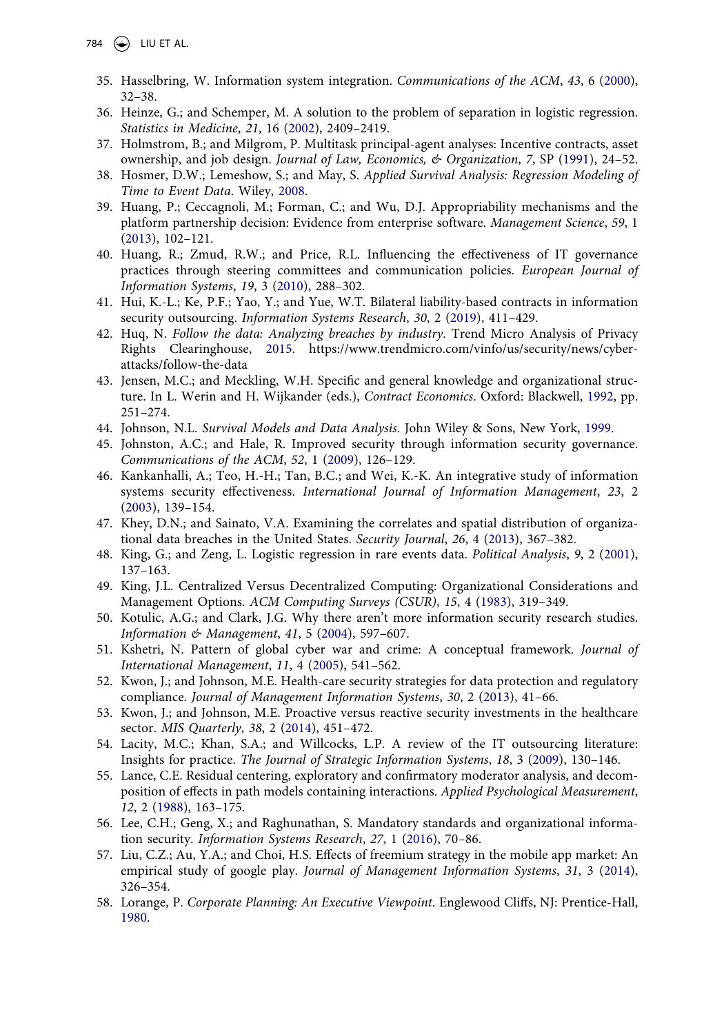- <span id="page-26-14"></span>35. Hasselbring, W. Information system integration. *Communications of the ACM*, *43*, 6 (2000), 32–38.
- <span id="page-26-18"></span>36. Heinze, G.; and Schemper, M. A solution to the problem of separation in logistic regression. *Statistics in Medicine*, *21*, 16 (2002), 2409–2419.
- <span id="page-26-8"></span>37. Holmstrom, B.; and Milgrom, P. Multitask principal-agent analyses: Incentive contracts, asset ownership, and job design. *Journal of Law, Economics, & Organization*, *7*, SP (1991), 24–52.
- <span id="page-26-22"></span>38. Hosmer, D.W.; Lemeshow, S.; and May, S. *Applied Survival Analysis: Regression Modeling of Time to Event Data*. Wiley, 2008.
- <span id="page-26-21"></span>39. Huang, P.; Ceccagnoli, M.; Forman, C.; and Wu, D.J. Appropriability mechanisms and the platform partnership decision: Evidence from enterprise software. *Management Science*, *59*, 1 (2013), 102–121.
- <span id="page-26-6"></span>40. Huang, R.; Zmud, R.W.; and Price, R.L. Influencing the effectiveness of IT governance practices through steering committees and communication policies. *European Journal of Information Systems*, *19*, 3 (2010), 288–302.
- <span id="page-26-3"></span>41. Hui, K.-L.; Ke, P.F.; Yao, Y.; and Yue, W.T. Bilateral liability-based contracts in information security outsourcing. *Information Systems Research*, *30*, 2 (2019), 411–429.
- <span id="page-26-1"></span>42. Huq, N. *Follow the data: Analyzing breaches by industry*. Trend Micro Analysis of Privacy Rights Clearinghouse, 2015. https://www.trendmicro.com/vinfo/us/security/news/cyberattacks/follow-the-data
- <span id="page-26-9"></span>43. Jensen, M.C.; and Meckling, W.H. Specific and general knowledge and organizational structure. In L. Werin and H. Wijkander (eds.), *Contract Economics*. Oxford: Blackwell, 1992, pp. 251–274.
- <span id="page-26-20"></span>44. Johnson, N.L. *Survival Models and Data Analysis*. John Wiley & Sons, New York, 1999.
- <span id="page-26-7"></span>45. Johnston, A.C.; and Hale, R. Improved security through information security governance. *Communications of the ACM*, *52*, 1 (2009), 126–129.
- <span id="page-26-12"></span>46. Kankanhalli, A.; Teo, H.-H.; Tan, B.C.; and Wei, K.-K. An integrative study of information systems security effectiveness. *International Journal of Information Management*, *23*, 2 (2003), 139–154.
- <span id="page-26-13"></span>47. Khey, D.N.; and Sainato, V.A. Examining the correlates and spatial distribution of organizational data breaches in the United States. *Security Journal*, *26*, 4 (2013), 367–382.
- <span id="page-26-17"></span>48. King, G.; and Zeng, L. Logistic regression in rare events data. *Political Analysis*, *9*, 2 (2001), 137–163.
- <span id="page-26-10"></span>49. King, J.L. Centralized Versus Decentralized Computing: Organizational Considerations and Management Options. *ACM Computing Surveys (CSUR)*, *15*, 4 (1983), 319–349.
- <span id="page-26-0"></span>50. Kotulic, A.G.; and Clark, J.G. Why there aren't more information security research studies. *Information & Management*, *41*, 5 (2004), 597–607.
- <span id="page-26-15"></span>51. Kshetri, N. Pattern of global cyber war and crime: A conceptual framework. *Journal of International Management*, *11*, 4 (2005), 541–562.
- <span id="page-26-5"></span>52. Kwon, J.; and Johnson, M.E. Health-care security strategies for data protection and regulatory compliance. *Journal of Management Information Systems*, *30*, 2 (2013), 41–66.
- <span id="page-26-2"></span>53. Kwon, J.; and Johnson, M.E. Proactive versus reactive security investments in the healthcare sector. *MIS Quarterly*, *38*, 2 (2014), 451–472.
- <span id="page-26-16"></span>54. Lacity, M.C.; Khan, S.A.; and Willcocks, L.P. A review of the IT outsourcing literature: Insights for practice. *The Journal of Strategic Information Systems*, *18*, 3 (2009), 130–146.
- <span id="page-26-23"></span>55. Lance, C.E. Residual centering, exploratory and confirmatory moderator analysis, and decomposition of effects in path models containing interactions. *Applied Psychological Measurement*, *12*, 2 (1988), 163–175.
- <span id="page-26-4"></span>56. Lee, C.H.; Geng, X.; and Raghunathan, S. Mandatory standards and organizational information security. *Information Systems Research*, *27*, 1 (2016), 70–86.
- <span id="page-26-19"></span>57. Liu, C.Z.; Au, Y.A.; and Choi, H.S. Effects of freemium strategy in the mobile app market: An empirical study of google play. *Journal of Management Information Systems*, *31*, 3 (2014), 326–354.
- <span id="page-26-11"></span>58. Lorange, P. *Corporate Planning: An Executive Viewpoint*. Englewood Cliffs, NJ: Prentice-Hall, 1980.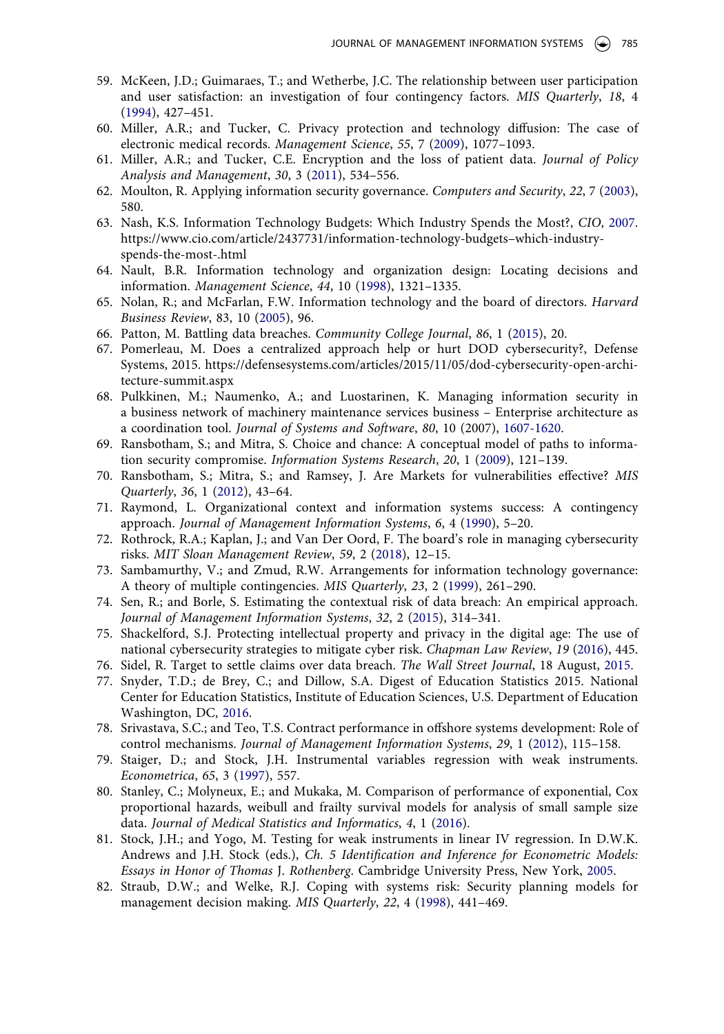- <span id="page-27-11"></span>59. McKeen, J.D.; Guimaraes, T.; and Wetherbe, J.C. The relationship between user participation and user satisfaction: an investigation of four contingency factors. *MIS Quarterly*, *18*, 4 (1994), 427–451.
- 60. Miller, A.R.; and Tucker, C. Privacy protection and technology diffusion: The case of electronic medical records. *Management Science*, *55*, 7 (2009), 1077–1093.
- <span id="page-27-14"></span>61. Miller, A.R.; and Tucker, C.E. Encryption and the loss of patient data. *Journal of Policy Analysis and Management*, *30*, 3 (2011), 534–556.
- <span id="page-27-9"></span>62. Moulton, R. Applying information security governance. *Computers and Security*, *22*, 7 (2003), 580.
- <span id="page-27-22"></span>63. Nash, K.S. Information Technology Budgets: Which Industry Spends the Most?, *CIO*, 2007. https://www.cio.com/article/2437731/information-technology-budgets–which-industryspends-the-most-.html
- <span id="page-27-10"></span>64. Nault, B.R. Information technology and organization design: Locating decisions and information. *Management Science*, *44*, 10 (1998), 1321–1335.
- <span id="page-27-3"></span>65. Nolan, R.; and McFarlan, F.W. Information technology and the board of directors. *Harvard Business Review*, 83, 10 (2005), 96.
- <span id="page-27-16"></span>66. Patton, M. Battling data breaches. *Community College Journal*, *86*, 1 (2015), 20.
- <span id="page-27-6"></span>67. Pomerleau, M. Does a centralized approach help or hurt DOD cybersecurity?, Defense Systems, 2015. https://defensesystems.com/articles/2015/11/05/dod-cybersecurity-open-architecture-summit.aspx
- <span id="page-27-13"></span>68. Pulkkinen, M.; Naumenko, A.; and Luostarinen, K. Managing information security in a business network of machinery maintenance services business – Enterprise architecture as a coordination tool. *Journal of Systems and Software*, *80*, 10 (2007), 1607-1620.
- <span id="page-27-0"></span>69. Ransbotham, S.; and Mitra, S. Choice and chance: A conceptual model of paths to information security compromise. *Information Systems Research*, *20*, 1 (2009), 121–139.
- <span id="page-27-1"></span>70. Ransbotham, S.; Mitra, S.; and Ramsey, J. Are Markets for vulnerabilities effective? *MIS Quarterly*, *36*, 1 (2012), 43–64.
- <span id="page-27-12"></span>71. Raymond, L. Organizational context and information systems success: A contingency approach. *Journal of Management Information Systems*, *6*, 4 (1990), 5–20.
- <span id="page-27-4"></span>72. Rothrock, R.A.; Kaplan, J.; and Van Der Oord, F. The board's role in managing cybersecurity risks. *MIT Sloan Management Review*, *59*, 2 (2018), 12–15.
- <span id="page-27-8"></span>73. Sambamurthy, V.; and Zmud, R.W. Arrangements for information technology governance: A theory of multiple contingencies. *MIS Quarterly*, *23*, 2 (1999), 261–290.
- <span id="page-27-7"></span>74. Sen, R.; and Borle, S. Estimating the contextual risk of data breach: An empirical approach. *Journal of Management Information Systems*, *32*, 2 (2015), 314–341.
- <span id="page-27-15"></span>75. Shackelford, S.J. Protecting intellectual property and privacy in the digital age: The use of national cybersecurity strategies to mitigate cyber risk. *Chapman Law Review*, *19* (2016), 445.
- <span id="page-27-5"></span>76. Sidel, R. Target to settle claims over data breach. *The Wall Street Journal*, 18 August, 2015.
- <span id="page-27-21"></span>77. Snyder, T.D.; de Brey, C.; and Dillow, S.A. Digest of Education Statistics 2015. National Center for Education Statistics, Institute of Education Sciences, U.S. Department of Education Washington, DC, 2016.
- <span id="page-27-17"></span>78. Srivastava, S.C.; and Teo, T.S. Contract performance in offshore systems development: Role of control mechanisms. *Journal of Management Information Systems*, *29*, 1 (2012), 115–158.
- <span id="page-27-18"></span>79. Staiger, D.; and Stock, J.H. Instrumental variables regression with weak instruments. *Econometrica*, *65*, 3 (1997), 557.
- <span id="page-27-20"></span>80. Stanley, C.; Molyneux, E.; and Mukaka, M. Comparison of performance of exponential, Cox proportional hazards, weibull and frailty survival models for analysis of small sample size data. *Journal of Medical Statistics and Informatics*, *4*, 1 (2016).
- <span id="page-27-19"></span>81. Stock, J.H.; and Yogo, M. Testing for weak instruments in linear IV regression. In D.W.K. Andrews and J.H. Stock (eds.), *Ch. 5 Identification and Inference for Econometric Models: Essays in Honor of Thomas* J. *Rothenberg*. Cambridge University Press, New York, 2005.
- <span id="page-27-2"></span>82. Straub, D.W.; and Welke, R.J. Coping with systems risk: Security planning models for management decision making. *MIS Quarterly*, *22*, 4 (1998), 441–469.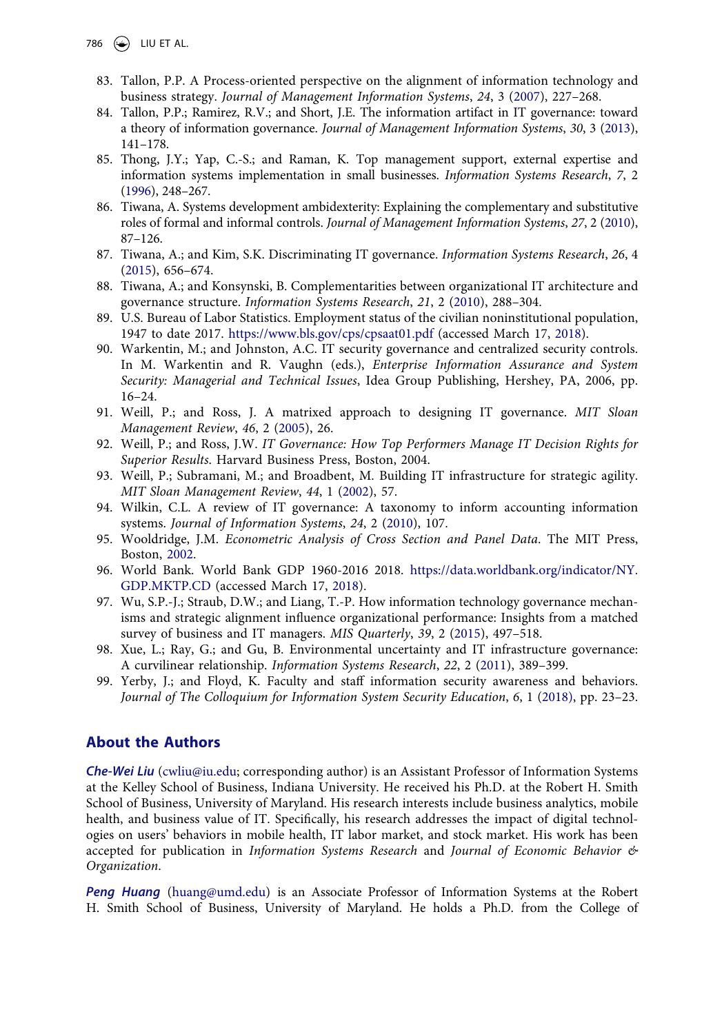- <span id="page-28-7"></span>83. Tallon, P.P. A Process-oriented perspective on the alignment of information technology and business strategy. *Journal of Management Information Systems*, *24*, 3 (2007), 227–268.
- <span id="page-28-2"></span>84. Tallon, P.P.; Ramirez, R.V.; and Short, J.E. The information artifact in IT governance: toward a theory of information governance. *Journal of Management Information Systems*, *30*, 3 (2013), 141–178.
- <span id="page-28-9"></span>85. Thong, J.Y.; Yap, C.-S.; and Raman, K. Top management support, external expertise and information systems implementation in small businesses. *Information Systems Research*, *7*, 2 (1996), 248–267.
- <span id="page-28-11"></span>86. Tiwana, A. Systems development ambidexterity: Explaining the complementary and substitutive roles of formal and informal controls. *Journal of Management Information Systems*, *27*, 2 (2010), 87–126.
- <span id="page-28-6"></span>87. Tiwana, A.; and Kim, S.K. Discriminating IT governance. *Information Systems Research*, *26*, 4 (2015), 656–674.
- <span id="page-28-4"></span>88. Tiwana, A.; and Konsynski, B. Complementarities between organizational IT architecture and governance structure. *Information Systems Research*, *21*, 2 (2010), 288–304.
- <span id="page-28-15"></span>89. U.S. Bureau of Labor Statistics. Employment status of the civilian noninstitutional population, 1947 to date 2017. <https://www.bls.gov/cps/cpsaat01.pdf>(accessed March 17, 2018).
- <span id="page-28-8"></span>90. Warkentin, M.; and Johnston, A.C. IT security governance and centralized security controls. In M. Warkentin and R. Vaughn (eds.), *Enterprise Information Assurance and System Security: Managerial and Technical Issues*, Idea Group Publishing, Hershey, PA, 2006, pp. 16–24.
- <span id="page-28-1"></span>91. Weill, P.; and Ross, J. A matrixed approach to designing IT governance. *MIT Sloan Management Review*, *46*, 2 (2005), 26.
- 92. Weill, P.; and Ross, J.W. *IT Governance: How Top Performers Manage IT Decision Rights for Superior Results*. Harvard Business Press, Boston, 2004.
- <span id="page-28-13"></span>93. Weill, P.; Subramani, M.; and Broadbent, M. Building IT infrastructure for strategic agility. *MIT Sloan Management Review*, *44*, 1 (2002), 57.
- <span id="page-28-5"></span>94. Wilkin, C.L. A review of IT governance: A taxonomy to inform accounting information systems. *Journal of Information Systems*, *24*, 2 (2010), 107.
- <span id="page-28-12"></span>95. Wooldridge, J.M. *Econometric Analysis of Cross Section and Panel Data*. The MIT Press, Boston, 2002.
- <span id="page-28-14"></span>96. World Bank. World Bank GDP 1960-2016 2018. [https://data.worldbank.org/indicator/NY.](https://data.worldbank.org/indicator/NY.GDP.MKTP.CD) [GDP.MKTP.CD](https://data.worldbank.org/indicator/NY.GDP.MKTP.CD) (accessed March 17, 2018).
- <span id="page-28-3"></span>97. Wu, S.P.-J.; Straub, D.W.; and Liang, T.-P. How information technology governance mechanisms and strategic alignment influence organizational performance: Insights from a matched survey of business and IT managers. *MIS Quarterly*, *39*, 2 (2015), 497–518.
- <span id="page-28-0"></span>98. Xue, L.; Ray, G.; and Gu, B. Environmental uncertainty and IT infrastructure governance: A curvilinear relationship. *Information Systems Research*, *22*, 2 (2011), 389–399.
- <span id="page-28-10"></span>99. Yerby, J.; and Floyd, K. Faculty and staff information security awareness and behaviors. *Journal of The Colloquium for Information System Security Education*, *6*, 1 (2018), pp. 23–23.

## **About the Authors**

*Che-Wei Liu* (cwliu@iu.edu; corresponding author) is an Assistant Professor of Information Systems at the Kelley School of Business, Indiana University. He received his Ph.D. at the Robert H. Smith School of Business, University of Maryland. His research interests include business analytics, mobile health, and business value of IT. Specifically, his research addresses the impact of digital technologies on users' behaviors in mobile health, IT labor market, and stock market. His work has been accepted for publication in *Information Systems Research* and *Journal of Economic Behavior & Organization*.

**Peng Huang** (huang@umd.edu) is an Associate Professor of Information Systems at the Robert H. Smith School of Business, University of Maryland. He holds a Ph.D. from the College of